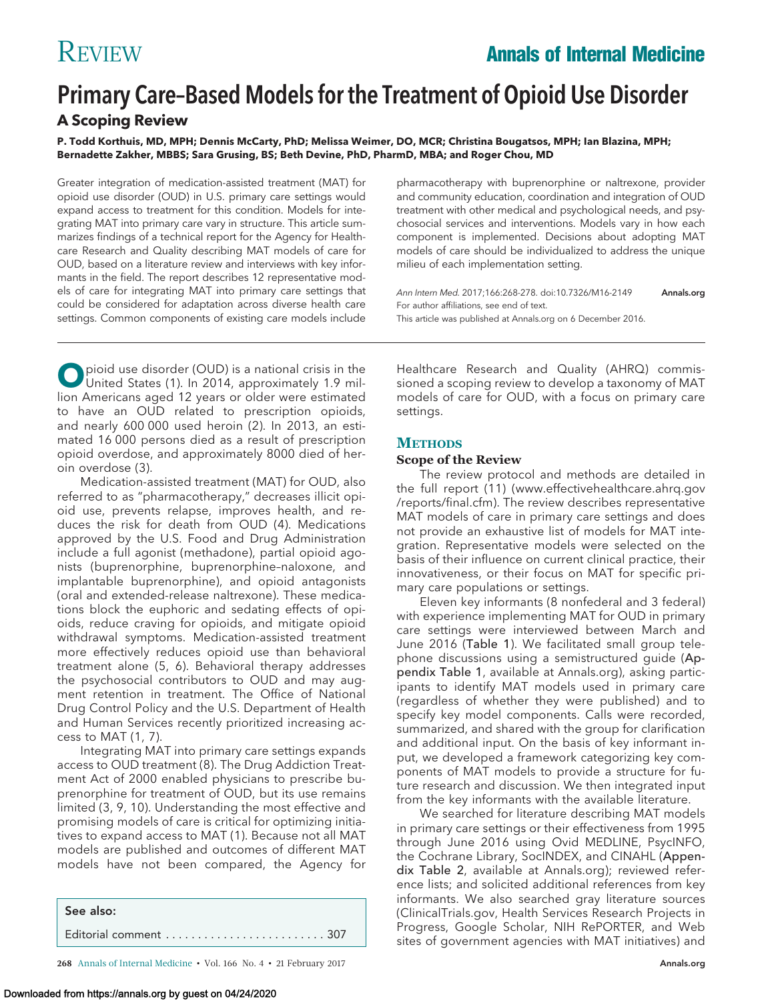## REVIEW **Annals of Internal Medicine**

# Primary Care–Based Models for the Treatment of Opioid Use Disorder

**A Scoping Review**

**P. Todd Korthuis, MD, MPH; Dennis McCarty, PhD; Melissa Weimer, DO, MCR; Christina Bougatsos, MPH; Ian Blazina, MPH; Bernadette Zakher, MBBS; Sara Grusing, BS; Beth Devine, PhD, PharmD, MBA; and Roger Chou, MD**

Greater integration of medication-assisted treatment (MAT) for opioid use disorder (OUD) in U.S. primary care settings would expand access to treatment for this condition. Models for integrating MAT into primary care vary in structure. This article summarizes findings of a technical report for the Agency for Healthcare Research and Quality describing MAT models of care for OUD, based on a literature review and interviews with key informants in the field. The report describes 12 representative models of care for integrating MAT into primary care settings that could be considered for adaptation across diverse health care settings. Common components of existing care models include

pharmacotherapy with buprenorphine or naltrexone, provider and community education, coordination and integration of OUD treatment with other medical and psychological needs, and psychosocial services and interventions. Models vary in how each component is implemented. Decisions about adopting MAT models of care should be individualized to address the unique milieu of each implementation setting.

Ann Intern Med. 2017;166:268-278. doi:10.7326/M16-2149 **[Annals.org](http://www.annals.org)** For author affiliations, see end of text. This article was published at [Annals.org](http://www.annals.org) on 6 December 2016.

**O**pioid use disorder (OUD) is a national crisis in the<br>United States (1). In 2014, approximately 1.9 million Americans aged 12 years or older were estimated to have an OUD related to prescription opioids, and nearly 600 000 used heroin (2). In 2013, an estimated 16 000 persons died as a result of prescription opioid overdose, and approximately 8000 died of heroin overdose (3).

Medication-assisted treatment (MAT) for OUD, also referred to as "pharmacotherapy," decreases illicit opioid use, prevents relapse, improves health, and reduces the risk for death from OUD (4). Medications approved by the U.S. Food and Drug Administration include a full agonist (methadone), partial opioid agonists (buprenorphine, buprenorphine–naloxone, and implantable buprenorphine), and opioid antagonists (oral and extended-release naltrexone). These medications block the euphoric and sedating effects of opioids, reduce craving for opioids, and mitigate opioid withdrawal symptoms. Medication-assisted treatment more effectively reduces opioid use than behavioral treatment alone (5, 6). Behavioral therapy addresses the psychosocial contributors to OUD and may augment retention in treatment. The Office of National Drug Control Policy and the U.S. Department of Health and Human Services recently prioritized increasing access to MAT (1, 7).

Integrating MAT into primary care settings expands access to OUD treatment (8). The Drug Addiction Treatment Act of 2000 enabled physicians to prescribe buprenorphine for treatment of OUD, but its use remains limited (3, 9, 10). Understanding the most effective and promising models of care is critical for optimizing initiatives to expand access to MAT (1). Because not all MAT models are published and outcomes of different MAT models have not been compared, the Agency for

See also: Editorial comment . . . . . . . . . . . . . . . . . . . . . . . . . 307

**268** Annals of Internal Medicine • Vol. 166 No. 4 • 21 February 2017 [Annals.org](http://www.annals.org)

Healthcare Research and Quality (AHRQ) commissioned a scoping review to develop a taxonomy of MAT models of care for OUD, with a focus on primary care settings.

#### **METHODS**

#### **Scope of the Review**

The review protocol and methods are detailed in the full report (11) [\(www.effectivehealthcare.ahrq.gov](http://www.effectivehealthcare.ahrq.gov/reports/final.cfm) [/reports/final.cfm\)](http://www.effectivehealthcare.ahrq.gov/reports/final.cfm). The review describes representative MAT models of care in primary care settings and does not provide an exhaustive list of models for MAT integration. Representative models were selected on the basis of their influence on current clinical practice, their innovativeness, or their focus on MAT for specific primary care populations or settings.

Eleven key informants (8 nonfederal and 3 federal) with experience implementing MAT for OUD in primary care settings were interviewed between March and June 2016 (Table 1). We facilitated small group telephone discussions using a semistructured guide (Appendix Table 1, available at [Annals.org\)](http://www.annals.org), asking participants to identify MAT models used in primary care (regardless of whether they were published) and to specify key model components. Calls were recorded, summarized, and shared with the group for clarification and additional input. On the basis of key informant input, we developed a framework categorizing key components of MAT models to provide a structure for future research and discussion. We then integrated input from the key informants with the available literature.

We searched for literature describing MAT models in primary care settings or their effectiveness from 1995 through June 2016 using Ovid MEDLINE, PsycINFO, the Cochrane Library, SocINDEX, and CINAHL (Appendix Table 2, available at [Annals.org\)](http://www.annals.org); reviewed reference lists; and solicited additional references from key informants. We also searched gray literature sources (ClinicalTrials.gov, Health Services Research Projects in Progress, Google Scholar, NIH RePORTER, and Web sites of government agencies with MAT initiatives) and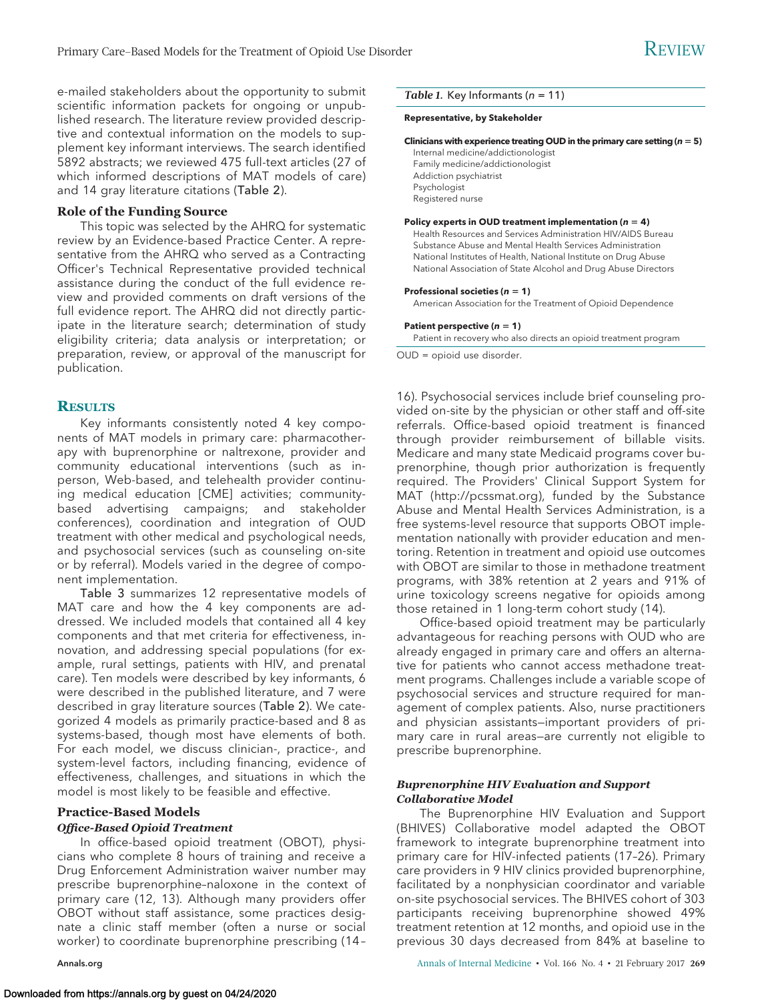e-mailed stakeholders about the opportunity to submit scientific information packets for ongoing or unpublished research. The literature review provided descriptive and contextual information on the models to supplement key informant interviews. The search identified 5892 abstracts; we reviewed 475 full-text articles (27 of which informed descriptions of MAT models of care) and 14 gray literature citations (Table 2).

#### **Role of the Funding Source**

This topic was selected by the AHRQ for systematic review by an Evidence-based Practice Center. A representative from the AHRQ who served as a Contracting Officer's Technical Representative provided technical assistance during the conduct of the full evidence review and provided comments on draft versions of the full evidence report. The AHRQ did not directly participate in the literature search; determination of study eligibility criteria; data analysis or interpretation; or preparation, review, or approval of the manuscript for publication.

#### **RESULTS**

Key informants consistently noted 4 key components of MAT models in primary care: pharmacotherapy with buprenorphine or naltrexone, provider and community educational interventions (such as inperson, Web-based, and telehealth provider continuing medical education [CME] activities; communitybased advertising campaigns; and stakeholder conferences), coordination and integration of OUD treatment with other medical and psychological needs, and psychosocial services (such as counseling on-site or by referral). Models varied in the degree of component implementation.

Table 3 summarizes 12 representative models of MAT care and how the 4 key components are addressed. We included models that contained all 4 key components and that met criteria for effectiveness, innovation, and addressing special populations (for example, rural settings, patients with HIV, and prenatal care). Ten models were described by key informants, 6 were described in the published literature, and 7 were described in gray literature sources (Table 2). We categorized 4 models as primarily practice-based and 8 as systems-based, though most have elements of both. For each model, we discuss clinician-, practice-, and system-level factors, including financing, evidence of effectiveness, challenges, and situations in which the model is most likely to be feasible and effective.

#### **Practice-Based Models** *Office-Based Opioid Treatment*

In office-based opioid treatment (OBOT), physicians who complete 8 hours of training and receive a Drug Enforcement Administration waiver number may prescribe buprenorphine–naloxone in the context of primary care (12, 13). Although many providers offer OBOT without staff assistance, some practices designate a clinic staff member (often a nurse or social worker) to coordinate buprenorphine prescribing (14 –

#### Table 1. Key Informants (n = 11)

#### **Representative, by Stakeholder**

**Clinicians with experience treating OUD in the primary care setting (***n* - **5)** Internal medicine/addictionologist

Family medicine/addictionologist Addiction psychiatrist Psychologist Registered nurse

#### **Policy experts in OUD treatment implementation (***n* - **4)**

Health Resources and Services Administration HIV/AIDS Bureau Substance Abuse and Mental Health Services Administration National Institutes of Health, National Institute on Drug Abuse National Association of State Alcohol and Drug Abuse Directors

#### **Professional societies (***n* **= 1)**

American Association for the Treatment of Opioid Dependence

#### **Patient perspective (***n* **= 1)**

Patient in recovery who also directs an opioid treatment program

OUD = opioid use disorder.

16). Psychosocial services include brief counseling provided on-site by the physician or other staff and off-site referrals. Office-based opioid treatment is financed through provider reimbursement of billable visits. Medicare and many state Medicaid programs cover buprenorphine, though prior authorization is frequently required. The Providers' Clinical Support System for MAT [\(http://pcssmat.org\)](http://pcssmat.org), funded by the Substance Abuse and Mental Health Services Administration, is a free systems-level resource that supports OBOT implementation nationally with provider education and mentoring. Retention in treatment and opioid use outcomes with OBOT are similar to those in methadone treatment programs, with 38% retention at 2 years and 91% of urine toxicology screens negative for opioids among those retained in 1 long-term cohort study (14).

Office-based opioid treatment may be particularly advantageous for reaching persons with OUD who are already engaged in primary care and offers an alternative for patients who cannot access methadone treatment programs. Challenges include a variable scope of psychosocial services and structure required for management of complex patients. Also, nurse practitioners and physician assistants—important providers of primary care in rural areas—are currently not eligible to prescribe buprenorphine.

#### *Buprenorphine HIV Evaluation and Support Collaborative Model*

The Buprenorphine HIV Evaluation and Support (BHIVES) Collaborative model adapted the OBOT framework to integrate buprenorphine treatment into primary care for HIV-infected patients (17–26). Primary care providers in 9 HIV clinics provided buprenorphine, facilitated by a nonphysician coordinator and variable on-site psychosocial services. The BHIVES cohort of 303 participants receiving buprenorphine showed 49% treatment retention at 12 months, and opioid use in the previous 30 days decreased from 84% at baseline to

[Annals.org](http://www.annals.org) **Annals of Internal Medicine • Vol. 166 No. 4 • 21 February 2017 269**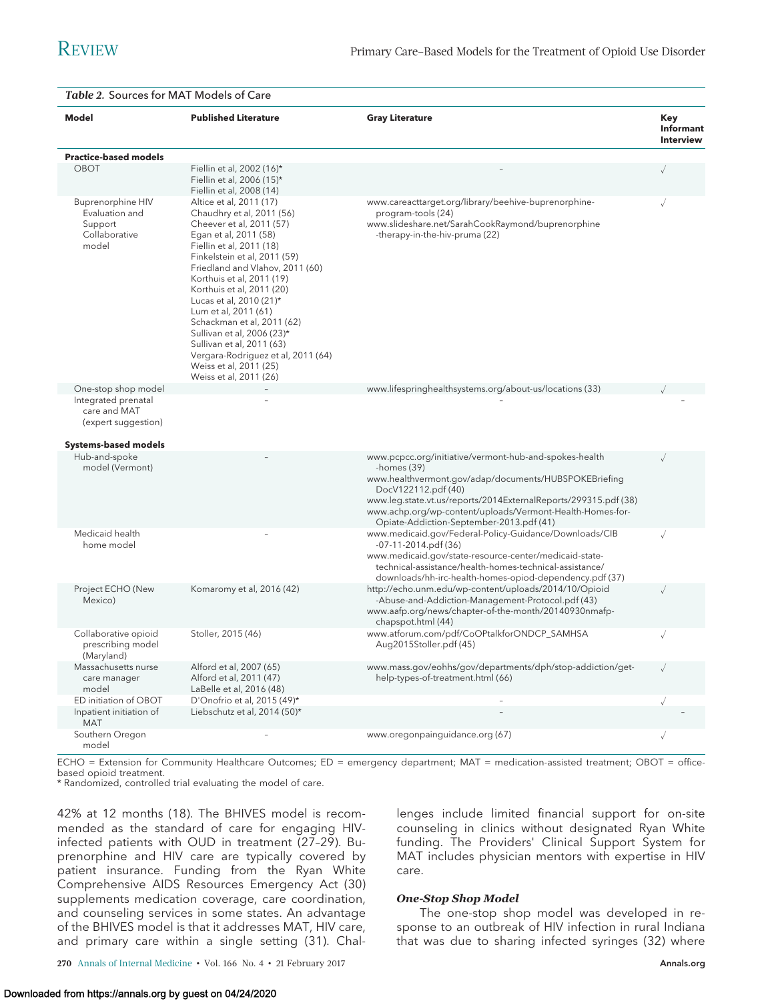| Table 2. Sources for MAT Models of Care                                                   |                                                                                                                                                                                                                                                                                                                                                                                                                                                                                                          |                                                                                                                                                                                                                                                                                                                                   |                                      |  |  |
|-------------------------------------------------------------------------------------------|----------------------------------------------------------------------------------------------------------------------------------------------------------------------------------------------------------------------------------------------------------------------------------------------------------------------------------------------------------------------------------------------------------------------------------------------------------------------------------------------------------|-----------------------------------------------------------------------------------------------------------------------------------------------------------------------------------------------------------------------------------------------------------------------------------------------------------------------------------|--------------------------------------|--|--|
| <b>Model</b>                                                                              | <b>Published Literature</b><br><b>Gray Literature</b>                                                                                                                                                                                                                                                                                                                                                                                                                                                    |                                                                                                                                                                                                                                                                                                                                   | Key<br>Informant<br><b>Interview</b> |  |  |
| <b>Practice-based models</b>                                                              |                                                                                                                                                                                                                                                                                                                                                                                                                                                                                                          |                                                                                                                                                                                                                                                                                                                                   |                                      |  |  |
| OBOT                                                                                      | Fiellin et al, 2002 (16)*<br>Fiellin et al, 2006 (15)*<br>Fiellin et al, 2008 (14)                                                                                                                                                                                                                                                                                                                                                                                                                       |                                                                                                                                                                                                                                                                                                                                   |                                      |  |  |
| Buprenorphine HIV<br>Evaluation and<br>Support<br>Collaborative<br>model                  | Altice et al, 2011 (17)<br>Chaudhry et al, 2011 (56)<br>Cheever et al, 2011 (57)<br>Egan et al, 2011 (58)<br>Fiellin et al, 2011 (18)<br>Finkelstein et al, 2011 (59)<br>Friedland and Vlahov, 2011 (60)<br>Korthuis et al, 2011 (19)<br>Korthuis et al, 2011 (20)<br>Lucas et al, 2010 (21)*<br>Lum et al, 2011 (61)<br>Schackman et al, 2011 (62)<br>Sullivan et al, 2006 (23)*<br>Sullivan et al, 2011 (63)<br>Vergara-Rodriguez et al, 2011 (64)<br>Weiss et al, 2011 (25)<br>Weiss et al, 2011 (26) | www.careacttarget.org/library/beehive-buprenorphine-<br>program-tools (24)<br>www.slideshare.net/SarahCookRaymond/buprenorphine<br>-therapy-in-the-hiv-pruma (22)                                                                                                                                                                 |                                      |  |  |
| One-stop shop model                                                                       |                                                                                                                                                                                                                                                                                                                                                                                                                                                                                                          | www.lifespringhealthsystems.org/about-us/locations (33)                                                                                                                                                                                                                                                                           |                                      |  |  |
| Integrated prenatal<br>care and MAT<br>(expert suggestion)<br><b>Systems-based models</b> |                                                                                                                                                                                                                                                                                                                                                                                                                                                                                                          |                                                                                                                                                                                                                                                                                                                                   |                                      |  |  |
| Hub-and-spoke<br>model (Vermont)                                                          |                                                                                                                                                                                                                                                                                                                                                                                                                                                                                                          | www.pcpcc.org/initiative/vermont-hub-and-spokes-health<br>-homes (39)<br>www.healthvermont.gov/adap/documents/HUBSPOKEBriefing<br>DocV122112.pdf (40)<br>www.leg.state.vt.us/reports/2014ExternalReports/299315.pdf (38)<br>www.achp.org/wp-content/uploads/Vermont-Health-Homes-for-<br>Opiate-Addiction-September-2013.pdf (41) |                                      |  |  |
| Medicaid health<br>home model                                                             |                                                                                                                                                                                                                                                                                                                                                                                                                                                                                                          | www.medicaid.gov/Federal-Policy-Guidance/Downloads/CIB<br>$-07-11-2014.pdf$ (36)<br>www.medicaid.gov/state-resource-center/medicaid-state-<br>technical-assistance/health-homes-technical-assistance/<br>downloads/hh-irc-health-homes-opiod-dependency.pdf (37)                                                                  | √                                    |  |  |
| Project ECHO (New<br>Mexico)                                                              | Komaromy et al, 2016 (42)                                                                                                                                                                                                                                                                                                                                                                                                                                                                                | http://echo.unm.edu/wp-content/uploads/2014/10/Opioid<br>-Abuse-and-Addiction-Management-Protocol.pdf (43)<br>www.aafp.org/news/chapter-of-the-month/20140930nmafp-<br>chapspot.html (44)                                                                                                                                         | $\sqrt{}$                            |  |  |
| Collaborative opioid<br>prescribing model<br>(Maryland)                                   | Stoller, 2015 (46)                                                                                                                                                                                                                                                                                                                                                                                                                                                                                       | www.atforum.com/pdf/CoOPtalkforONDCP_SAMHSA<br>Aug2015Stoller.pdf (45)                                                                                                                                                                                                                                                            | √                                    |  |  |
| Massachusetts nurse<br>care manager<br>model                                              | Alford et al, 2007 (65)<br>Alford et al, 2011 (47)<br>LaBelle et al, 2016 (48)                                                                                                                                                                                                                                                                                                                                                                                                                           | www.mass.gov/eohhs/gov/departments/dph/stop-addiction/get-<br>help-types-of-treatment.html (66)                                                                                                                                                                                                                                   |                                      |  |  |
| ED initiation of OBOT                                                                     | D'Onofrio et al, 2015 (49)*                                                                                                                                                                                                                                                                                                                                                                                                                                                                              |                                                                                                                                                                                                                                                                                                                                   |                                      |  |  |
| Inpatient initiation of<br>MAT                                                            | Liebschutz et al, 2014 (50)*                                                                                                                                                                                                                                                                                                                                                                                                                                                                             |                                                                                                                                                                                                                                                                                                                                   |                                      |  |  |
| Southern Oregon<br>model                                                                  |                                                                                                                                                                                                                                                                                                                                                                                                                                                                                                          | www.oregonpainguidance.org (67)                                                                                                                                                                                                                                                                                                   |                                      |  |  |

ECHO = Extension for Community Healthcare Outcomes; ED = emergency department; MAT = medication-assisted treatment; OBOT = officebased opioid treatment.

\* Randomized, controlled trial evaluating the model of care.

42% at 12 months (18). The BHIVES model is recommended as the standard of care for engaging HIVinfected patients with OUD in treatment (27–29). Buprenorphine and HIV care are typically covered by patient insurance. Funding from the Ryan White Comprehensive AIDS Resources Emergency Act (30) supplements medication coverage, care coordination, and counseling services in some states. An advantage of the BHIVES model is that it addresses MAT, HIV care, and primary care within a single setting (31). Challenges include limited financial support for on-site counseling in clinics without designated Ryan White funding. The Providers' Clinical Support System for MAT includes physician mentors with expertise in HIV care.

#### *One-Stop Shop Model*

The one-stop shop model was developed in response to an outbreak of HIV infection in rural Indiana that was due to sharing infected syringes (32) where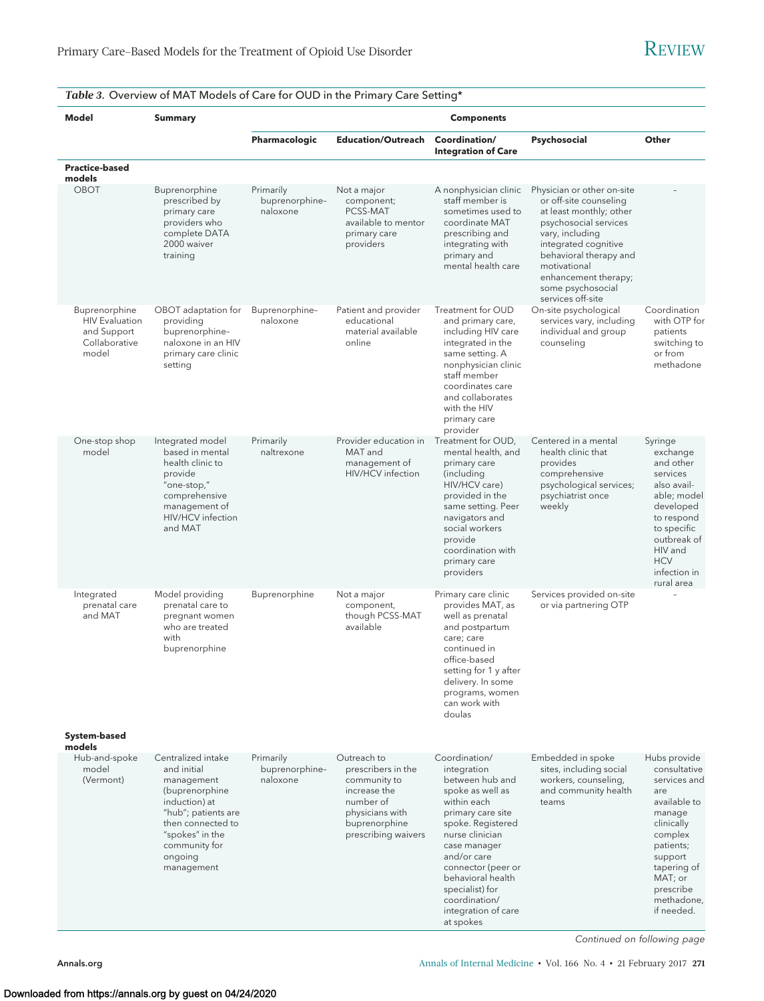#### **Model Summary Components Pharmacologic Education/Outreach Coordination/ Integration of Care Psychosocial Other Practice-based models** Buprenorphine prescribed by primary care providers who complete DATA 2000 waiver training Primarily buprenorphine– naloxone Not a major component; PCSS-MAT available to mentor primary care providers A nonphysician clinic staff member is sometimes used to coordinate MAT prescribing and integrating with primary and mental health care Physician or other on-site or off-site counseling at least monthly; other psychosocial services vary, including integrated cognitive behavioral therapy and motivational enhancement therapy; some psychosocial services off-site – Buprenorphine HIV Evaluation and Support Collaborative model OBOT adaptation for providing buprenorphine– naloxone in an HIV primary care clinic setting Buprenorphine– naloxone Patient and provider educational material available online Treatment for OUD and primary care, including HIV care integrated in the same setting. A nonphysician clinic staff member coordinates care and collaborates with the HIV primary care provider On-site psychological services vary, including individual and group counseling Coordination with OTP for patients switching to or from methadone One-stop shop model Integrated model based in mental health clinic to provide .<br>"one-stop." comprehensive management of HIV/HCV infection and MAT Primarily naltrexone Provider education in MAT and management of HIV/HCV infection Treatment for OUD, mental health, and primary care (including HIV/HCV care) provided in the same setting. Peer navigators and social workers provide coordination with primary care providers Centered in a mental health clinic that provides comprehensive psychological services; psychiatrist once weekly Syringe exchange and other services also available; model developed to respond to specific outbreak of HIV and HCV infection in rural area Integrated prenatal care and MAT Model providing prenatal care to pregnant women who are treated with buprenorphine Buprenorphine Not a major component, though PCSS-MAT available Primary care clinic provides MAT, as well as prenatal and postpartum care; care continued in office-based setting for 1 y after delivery. In some programs, women can work with doulas Services provided on-site or via partnering OTP – **System-based models** Hub-and-spoke model (Vermont) Centralized intake and initial management (buprenorphine induction) at "hub"; patients are then connected to "spokes" in the community for ongoing management Primarily buprenorphine– naloxone Outreach to prescribers in the community to increase the number of physicians with buprenorphine prescribing waivers Coordination/ integration between hub and spoke as well as within each primary care site spoke. Registered nurse clinician case manager and/or care connector (peer or behavioral health specialist) for coordination/ integration of care at spokes Embedded in spoke sites, including social workers, counseling, and community health teams Hubs provide consultative services and are available to manage clinically complex patients; support tapering of MAT; or prescribe methadone, if needed.

*Table 3.* Overview of MAT Models of Care for OUD in the Primary Care Setting\*

Continued on following page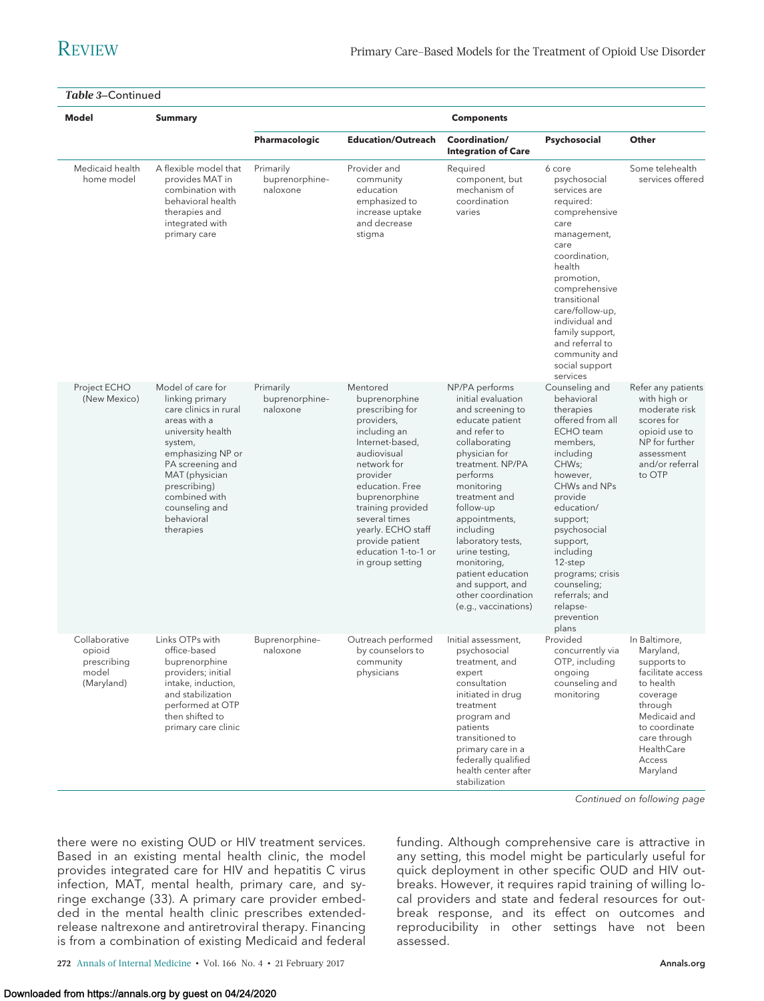| <b>Model</b>                                                  | <b>Summary</b>                                                                                                                                                                                                                                         | <b>Components</b>                       |                                                                                                                                                                                                                                                                                                       |                                                                                                                                                                                                                                                                                                                                                                                      |                                                                                                                                                                                                                                                                                                                           |                                                                                                                                                                                         |
|---------------------------------------------------------------|--------------------------------------------------------------------------------------------------------------------------------------------------------------------------------------------------------------------------------------------------------|-----------------------------------------|-------------------------------------------------------------------------------------------------------------------------------------------------------------------------------------------------------------------------------------------------------------------------------------------------------|--------------------------------------------------------------------------------------------------------------------------------------------------------------------------------------------------------------------------------------------------------------------------------------------------------------------------------------------------------------------------------------|---------------------------------------------------------------------------------------------------------------------------------------------------------------------------------------------------------------------------------------------------------------------------------------------------------------------------|-----------------------------------------------------------------------------------------------------------------------------------------------------------------------------------------|
|                                                               |                                                                                                                                                                                                                                                        | Pharmacologic                           | <b>Education/Outreach</b>                                                                                                                                                                                                                                                                             | Coordination/<br><b>Integration of Care</b>                                                                                                                                                                                                                                                                                                                                          | Psychosocial                                                                                                                                                                                                                                                                                                              | Other                                                                                                                                                                                   |
| Medicaid health<br>home model                                 | A flexible model that<br>provides MAT in<br>combination with<br>behavioral health<br>therapies and<br>integrated with<br>primary care                                                                                                                  | Primarily<br>buprenorphine-<br>naloxone | Provider and<br>community<br>education<br>emphasized to<br>increase uptake<br>and decrease<br>stigma                                                                                                                                                                                                  | Required<br>component, but<br>mechanism of<br>coordination<br>varies                                                                                                                                                                                                                                                                                                                 | 6 core<br>psychosocial<br>services are<br>required:<br>comprehensive<br>care<br>management,<br>care<br>coordination,<br>health<br>promotion,<br>comprehensive<br>transitional<br>care/follow-up,<br>individual and<br>family support,<br>and referral to<br>community and<br>social support<br>services                   | Some telehealth<br>services offered                                                                                                                                                     |
| Project ECHO<br>(New Mexico)                                  | Model of care for<br>linking primary<br>care clinics in rural<br>areas with a<br>university health<br>system,<br>emphasizing NP or<br>PA screening and<br>MAT (physician<br>prescribing)<br>combined with<br>counseling and<br>behavioral<br>therapies | Primarily<br>buprenorphine-<br>naloxone | Mentored<br>buprenorphine<br>prescribing for<br>providers,<br>including an<br>Internet-based,<br>audiovisual<br>network for<br>provider<br>education. Free<br>buprenorphine<br>training provided<br>several times<br>yearly. ECHO staff<br>provide patient<br>education 1-to-1 or<br>in group setting | NP/PA performs<br>initial evaluation<br>and screening to<br>educate patient<br>and refer to<br>collaborating<br>physician for<br>treatment. NP/PA<br>performs<br>monitoring<br>treatment and<br>follow-up<br>appointments,<br>including<br>laboratory tests,<br>urine testing,<br>monitoring,<br>patient education<br>and support, and<br>other coordination<br>(e.g., vaccinations) | Counseling and<br>behavioral<br>therapies<br>offered from all<br>ECHO team<br>members,<br>including<br>CHWs;<br>however,<br>CHWs and NPs<br>provide<br>education/<br>support;<br>psychosocial<br>support,<br>including<br>12-step<br>programs; crisis<br>counseling;<br>referrals; and<br>relapse-<br>prevention<br>plans | Refer any patients<br>with high or<br>moderate risk<br>scores for<br>opioid use to<br>NP for further<br>assessment<br>and/or referral<br>to OTP                                         |
| Collaborative<br>opioid<br>prescribing<br>model<br>(Maryland) | Links OTPs with<br>office-based<br>buprenorphine<br>providers; initial<br>intake, induction,<br>and stabilization<br>performed at OTP<br>then shifted to<br>primary care clinic                                                                        | Buprenorphine-<br>naloxone              | Outreach performed<br>by counselors to<br>community<br>physicians                                                                                                                                                                                                                                     | Initial assessment,<br>psychosocial<br>treatment, and<br>expert<br>consultation<br>initiated in drug<br>treatment<br>program and<br>patients<br>transitioned to<br>primary care in a<br>federally qualified<br>health center after<br>stabilization                                                                                                                                  | Provided<br>concurrently via<br>OTP, including<br>ongoing<br>counseling and<br>monitoring                                                                                                                                                                                                                                 | In Baltimore,<br>Maryland,<br>supports to<br>facilitate access<br>to health<br>coverage<br>through<br>Medicaid and<br>to coordinate<br>care through<br>HealthCare<br>Access<br>Maryland |

Continued on following page

there were no existing OUD or HIV treatment services. Based in an existing mental health clinic, the model provides integrated care for HIV and hepatitis C virus infection, MAT, mental health, primary care, and syringe exchange (33). A primary care provider embedded in the mental health clinic prescribes extendedrelease naltrexone and antiretroviral therapy. Financing is from a combination of existing Medicaid and federal

funding. Although comprehensive care is attractive in any setting, this model might be particularly useful for quick deployment in other specific OUD and HIV outbreaks. However, it requires rapid training of willing local providers and state and federal resources for outbreak response, and its effect on outcomes and reproducibility in other settings have not been assessed.

**272** Annals of Internal Medicine • Vol. 166 No. 4 • 21 February 2017 [Annals.org](http://www.annals.org)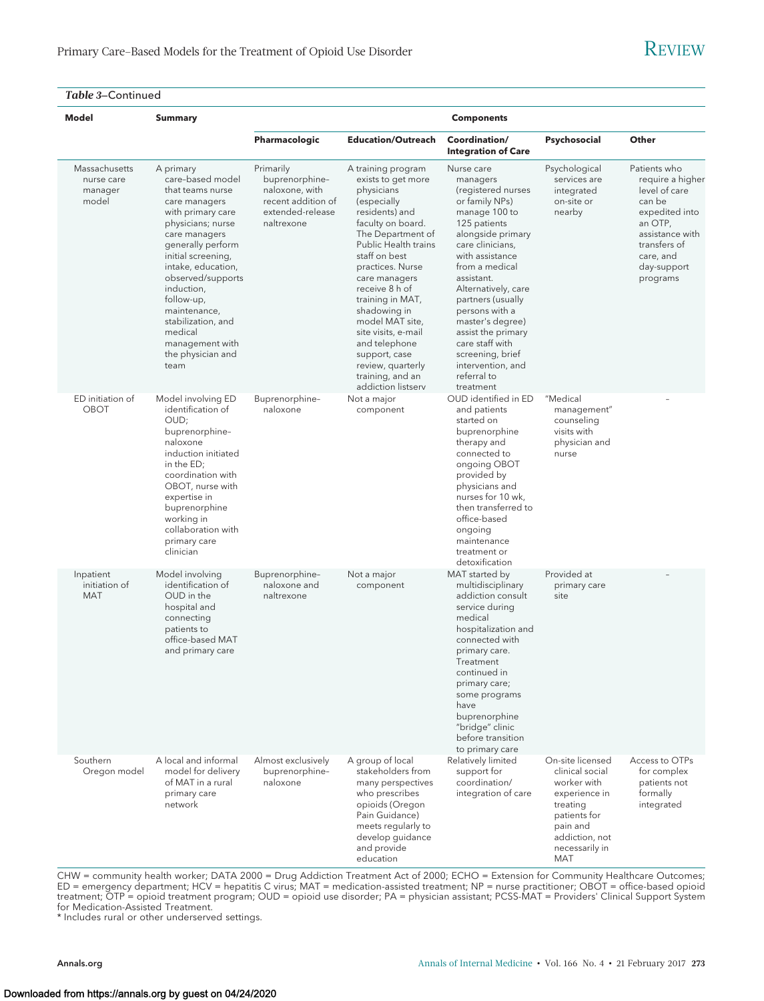| <b>Model</b>                                    | Summary                                                                                                                                                                                                                                                                                                                                          | <b>Components</b>                                                                                     |                                                                                                                                                                                                                                                                                                                                                                                                                         |                                                                                                                                                                                                                                                                                                                                                                                             |                                                                                                                                                        |                                                                                                                                                                     |
|-------------------------------------------------|--------------------------------------------------------------------------------------------------------------------------------------------------------------------------------------------------------------------------------------------------------------------------------------------------------------------------------------------------|-------------------------------------------------------------------------------------------------------|-------------------------------------------------------------------------------------------------------------------------------------------------------------------------------------------------------------------------------------------------------------------------------------------------------------------------------------------------------------------------------------------------------------------------|---------------------------------------------------------------------------------------------------------------------------------------------------------------------------------------------------------------------------------------------------------------------------------------------------------------------------------------------------------------------------------------------|--------------------------------------------------------------------------------------------------------------------------------------------------------|---------------------------------------------------------------------------------------------------------------------------------------------------------------------|
|                                                 |                                                                                                                                                                                                                                                                                                                                                  | Pharmacologic                                                                                         | <b>Education/Outreach</b>                                                                                                                                                                                                                                                                                                                                                                                               | Coordination/<br><b>Integration of Care</b>                                                                                                                                                                                                                                                                                                                                                 | Psychosocial                                                                                                                                           | Other                                                                                                                                                               |
| Massachusetts<br>nurse care<br>manager<br>model | A primary<br>care-based model<br>that teams nurse<br>care managers<br>with primary care<br>physicians; nurse<br>care managers<br>generally perform<br>initial screening,<br>intake, education,<br>observed/supports<br>induction,<br>follow-up,<br>maintenance,<br>stabilization, and<br>medical<br>management with<br>the physician and<br>team | Primarily<br>buprenorphine-<br>naloxone, with<br>recent addition of<br>extended-release<br>naltrexone | A training program<br>exists to get more<br>physicians<br>(especially<br>residents) and<br>faculty on board.<br>The Department of<br><b>Public Health trains</b><br>staff on best<br>practices. Nurse<br>care managers<br>receive 8 h of<br>training in MAT,<br>shadowing in<br>model MAT site,<br>site visits, e-mail<br>and telephone<br>support, case<br>review, quarterly<br>training, and an<br>addiction listserv | Nurse care<br>managers<br>(registered nurses<br>or family NPs)<br>manage 100 to<br>125 patients<br>alongside primary<br>care clinicians,<br>with assistance<br>from a medical<br>assistant.<br>Alternatively, care<br>partners (usually<br>persons with a<br>master's degree)<br>assist the primary<br>care staff with<br>screening, brief<br>intervention, and<br>referral to<br>treatment | Psychological<br>services are<br>integrated<br>on-site or<br>nearby                                                                                    | Patients who<br>require a higher<br>level of care<br>can be<br>expedited into<br>an OTP,<br>assistance with<br>transfers of<br>care, and<br>day-support<br>programs |
| ED initiation of<br><b>OBOT</b>                 | Model involving ED<br>identification of<br>OUD;<br>buprenorphine-<br>naloxone<br>induction initiated<br>in the ED;<br>coordination with<br>OBOT, nurse with<br>expertise in<br>buprenorphine<br>working in<br>collaboration with<br>primary care<br>clinician                                                                                    | Buprenorphine-<br>naloxone                                                                            | Not a major<br>component                                                                                                                                                                                                                                                                                                                                                                                                | OUD identified in ED<br>and patients<br>started on<br>buprenorphine<br>therapy and<br>connected to<br>ongoing OBOT<br>provided by<br>physicians and<br>nurses for 10 wk,<br>then transferred to<br>office-based<br>ongoing<br>maintenance<br>treatment or<br>detoxification                                                                                                                 | "Medical<br>management"<br>counseling<br>visits with<br>physician and<br>nurse                                                                         |                                                                                                                                                                     |
| Inpatient<br>initiation of<br><b>MAT</b>        | Model involving<br>identification of<br>OUD in the<br>hospital and<br>connecting<br>patients to<br>office-based MAT<br>and primary care                                                                                                                                                                                                          | Buprenorphine-<br>naloxone and<br>naltrexone                                                          | Not a major<br>component                                                                                                                                                                                                                                                                                                                                                                                                | MAT started by<br>multidisciplinary<br>addiction consult<br>service during<br>medical<br>hospitalization and<br>connected with<br>primary care.<br>Treatment<br>continued in<br>primary care;<br>some programs<br>have<br>buprenorphine<br>"bridge" clinic<br>before transition<br>to primary care                                                                                          | Provided at<br>primary care<br>site                                                                                                                    |                                                                                                                                                                     |
| Southern<br>Oregon model                        | A local and informal<br>model for delivery<br>of MAT in a rural<br>primary care<br>network                                                                                                                                                                                                                                                       | Almost exclusively<br>buprenorphine-<br>naloxone                                                      | A group of local<br>stakeholders from<br>many perspectives<br>who prescribes<br>opioids (Oregon<br>Pain Guidance)<br>meets regularly to<br>develop guidance<br>and provide<br>education                                                                                                                                                                                                                                 | Relatively limited<br>support for<br>coordination/<br>integration of care                                                                                                                                                                                                                                                                                                                   | On-site licensed<br>clinical social<br>worker with<br>experience in<br>treating<br>patients for<br>pain and<br>addiction, not<br>necessarily in<br>MAT | Access to OTPs<br>for complex<br>patients not<br>formally<br>integrated                                                                                             |

CHW = community health worker; DATA 2000 = Drug Addiction Treatment Act of 2000; ECHO = Extension for Community Healthcare Outcomes; ED = emergency department; HCV = hepatitis C virus; MAT = medication-assisted treatment; NP = nurse practitioner; OBOT = office-based opioid treatment; OTP = opioid treatment program; OUD = opioid use disorder; PA = physician assistant; PCSS-MAT = Providers' Clinical Support System for Medication-Assisted Treatment.

\* Includes rural or other underserved settings.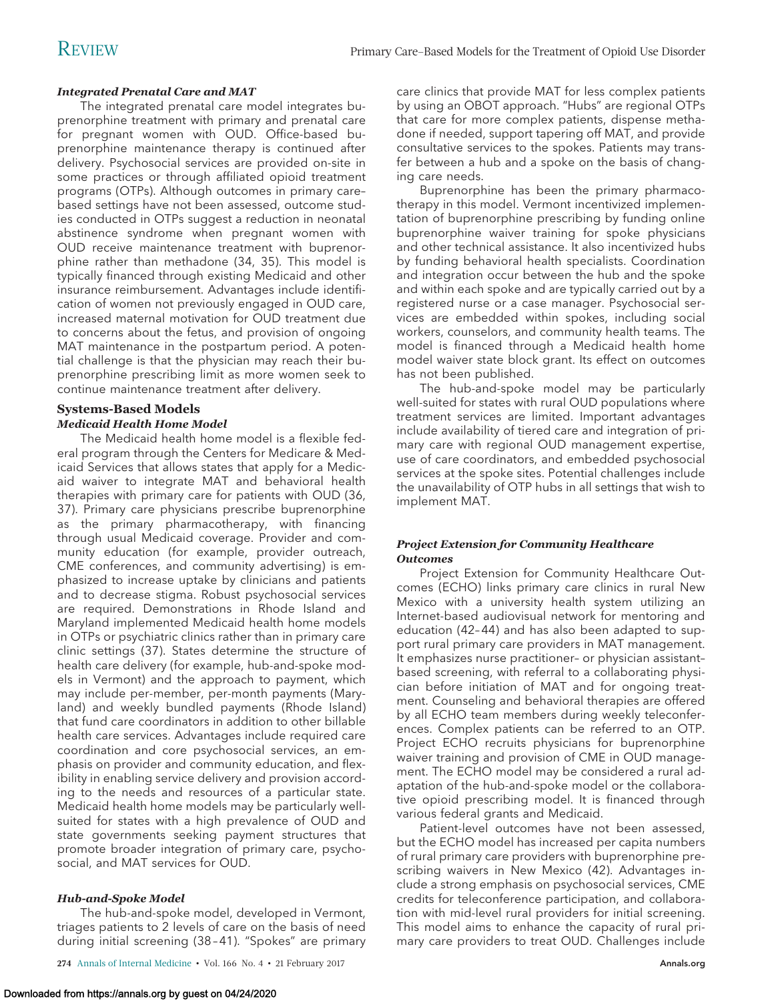#### *Integrated Prenatal Care and MAT*

The integrated prenatal care model integrates buprenorphine treatment with primary and prenatal care for pregnant women with OUD. Office-based buprenorphine maintenance therapy is continued after delivery. Psychosocial services are provided on-site in some practices or through affiliated opioid treatment programs (OTPs). Although outcomes in primary care– based settings have not been assessed, outcome studies conducted in OTPs suggest a reduction in neonatal abstinence syndrome when pregnant women with OUD receive maintenance treatment with buprenorphine rather than methadone (34, 35). This model is typically financed through existing Medicaid and other insurance reimbursement. Advantages include identification of women not previously engaged in OUD care, increased maternal motivation for OUD treatment due to concerns about the fetus, and provision of ongoing MAT maintenance in the postpartum period. A potential challenge is that the physician may reach their buprenorphine prescribing limit as more women seek to continue maintenance treatment after delivery.

#### **Systems-Based Models** *Medicaid Health Home Model*

## The Medicaid health home model is a flexible federal program through the Centers for Medicare & Medicaid Services that allows states that apply for a Medicaid waiver to integrate MAT and behavioral health therapies with primary care for patients with OUD (36, 37). Primary care physicians prescribe buprenorphine as the primary pharmacotherapy, with financing through usual Medicaid coverage. Provider and com-

munity education (for example, provider outreach, CME conferences, and community advertising) is emphasized to increase uptake by clinicians and patients and to decrease stigma. Robust psychosocial services are required. Demonstrations in Rhode Island and Maryland implemented Medicaid health home models in OTPs or psychiatric clinics rather than in primary care clinic settings (37). States determine the structure of health care delivery (for example, hub-and-spoke models in Vermont) and the approach to payment, which may include per-member, per-month payments (Maryland) and weekly bundled payments (Rhode Island) that fund care coordinators in addition to other billable health care services. Advantages include required care coordination and core psychosocial services, an emphasis on provider and community education, and flexibility in enabling service delivery and provision according to the needs and resources of a particular state. Medicaid health home models may be particularly wellsuited for states with a high prevalence of OUD and state governments seeking payment structures that promote broader integration of primary care, psychosocial, and MAT services for OUD.

#### *Hub-and-Spoke Model*

The hub-and-spoke model, developed in Vermont, triages patients to 2 levels of care on the basis of need during initial screening (38 – 41). "Spokes" are primary

**274** Annals of Internal Medicine • Vol. 166 No. 4 • 21 February 2017 [Annals.org](http://www.annals.org)

care clinics that provide MAT for less complex patients by using an OBOT approach. "Hubs" are regional OTPs that care for more complex patients, dispense methadone if needed, support tapering off MAT, and provide consultative services to the spokes. Patients may transfer between a hub and a spoke on the basis of changing care needs.

Buprenorphine has been the primary pharmacotherapy in this model. Vermont incentivized implementation of buprenorphine prescribing by funding online buprenorphine waiver training for spoke physicians and other technical assistance. It also incentivized hubs by funding behavioral health specialists. Coordination and integration occur between the hub and the spoke and within each spoke and are typically carried out by a registered nurse or a case manager. Psychosocial services are embedded within spokes, including social workers, counselors, and community health teams. The model is financed through a Medicaid health home model waiver state block grant. Its effect on outcomes has not been published.

The hub-and-spoke model may be particularly well-suited for states with rural OUD populations where treatment services are limited. Important advantages include availability of tiered care and integration of primary care with regional OUD management expertise, use of care coordinators, and embedded psychosocial services at the spoke sites. Potential challenges include the unavailability of OTP hubs in all settings that wish to implement MAT.

#### *Project Extension for Community Healthcare Outcomes*

Project Extension for Community Healthcare Outcomes (ECHO) links primary care clinics in rural New Mexico with a university health system utilizing an Internet-based audiovisual network for mentoring and education (42– 44) and has also been adapted to support rural primary care providers in MAT management. It emphasizes nurse practitioner– or physician assistant– based screening, with referral to a collaborating physician before initiation of MAT and for ongoing treatment. Counseling and behavioral therapies are offered by all ECHO team members during weekly teleconferences. Complex patients can be referred to an OTP. Project ECHO recruits physicians for buprenorphine waiver training and provision of CME in OUD management. The ECHO model may be considered a rural adaptation of the hub-and-spoke model or the collaborative opioid prescribing model. It is financed through various federal grants and Medicaid.

Patient-level outcomes have not been assessed, but the ECHO model has increased per capita numbers of rural primary care providers with buprenorphine prescribing waivers in New Mexico (42). Advantages include a strong emphasis on psychosocial services, CME credits for teleconference participation, and collaboration with mid-level rural providers for initial screening. This model aims to enhance the capacity of rural primary care providers to treat OUD. Challenges include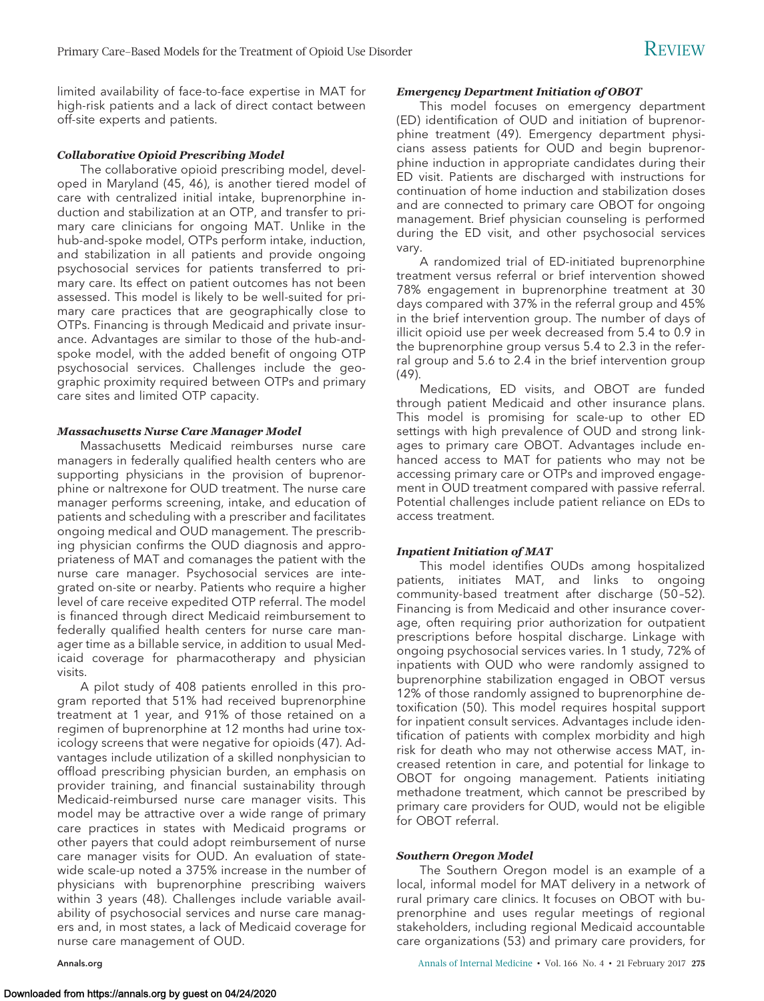limited availability of face-to-face expertise in MAT for high-risk patients and a lack of direct contact between off-site experts and patients.

#### *Collaborative Opioid Prescribing Model*

The collaborative opioid prescribing model, developed in Maryland (45, 46), is another tiered model of care with centralized initial intake, buprenorphine induction and stabilization at an OTP, and transfer to primary care clinicians for ongoing MAT. Unlike in the hub-and-spoke model, OTPs perform intake, induction, and stabilization in all patients and provide ongoing psychosocial services for patients transferred to primary care. Its effect on patient outcomes has not been assessed. This model is likely to be well-suited for primary care practices that are geographically close to OTPs. Financing is through Medicaid and private insurance. Advantages are similar to those of the hub-andspoke model, with the added benefit of ongoing OTP psychosocial services. Challenges include the geographic proximity required between OTPs and primary care sites and limited OTP capacity.

#### *Massachusetts Nurse Care Manager Model*

Massachusetts Medicaid reimburses nurse care managers in federally qualified health centers who are supporting physicians in the provision of buprenorphine or naltrexone for OUD treatment. The nurse care manager performs screening, intake, and education of patients and scheduling with a prescriber and facilitates ongoing medical and OUD management. The prescribing physician confirms the OUD diagnosis and appropriateness of MAT and comanages the patient with the nurse care manager. Psychosocial services are integrated on-site or nearby. Patients who require a higher level of care receive expedited OTP referral. The model is financed through direct Medicaid reimbursement to federally qualified health centers for nurse care manager time as a billable service, in addition to usual Medicaid coverage for pharmacotherapy and physician visits.

A pilot study of 408 patients enrolled in this program reported that 51% had received buprenorphine treatment at 1 year, and 91% of those retained on a regimen of buprenorphine at 12 months had urine toxicology screens that were negative for opioids (47). Advantages include utilization of a skilled nonphysician to offload prescribing physician burden, an emphasis on provider training, and financial sustainability through Medicaid-reimbursed nurse care manager visits. This model may be attractive over a wide range of primary care practices in states with Medicaid programs or other payers that could adopt reimbursement of nurse care manager visits for OUD. An evaluation of statewide scale-up noted a 375% increase in the number of physicians with buprenorphine prescribing waivers within 3 years (48). Challenges include variable availability of psychosocial services and nurse care managers and, in most states, a lack of Medicaid coverage for nurse care management of OUD.

#### *Emergency Department Initiation of OBOT*

This model focuses on emergency department (ED) identification of OUD and initiation of buprenorphine treatment (49). Emergency department physicians assess patients for OUD and begin buprenorphine induction in appropriate candidates during their ED visit. Patients are discharged with instructions for continuation of home induction and stabilization doses and are connected to primary care OBOT for ongoing management. Brief physician counseling is performed during the ED visit, and other psychosocial services vary.

A randomized trial of ED-initiated buprenorphine treatment versus referral or brief intervention showed 78% engagement in buprenorphine treatment at 30 days compared with 37% in the referral group and 45% in the brief intervention group. The number of days of illicit opioid use per week decreased from 5.4 to 0.9 in the buprenorphine group versus 5.4 to 2.3 in the referral group and 5.6 to 2.4 in the brief intervention group (49).

Medications, ED visits, and OBOT are funded through patient Medicaid and other insurance plans. This model is promising for scale-up to other ED settings with high prevalence of OUD and strong linkages to primary care OBOT. Advantages include enhanced access to MAT for patients who may not be accessing primary care or OTPs and improved engagement in OUD treatment compared with passive referral. Potential challenges include patient reliance on EDs to access treatment.

#### *Inpatient Initiation of MAT*

This model identifies OUDs among hospitalized patients, initiates MAT, and links to ongoing community-based treatment after discharge (50 –52). Financing is from Medicaid and other insurance coverage, often requiring prior authorization for outpatient prescriptions before hospital discharge. Linkage with ongoing psychosocial services varies. In 1 study, 72% of inpatients with OUD who were randomly assigned to buprenorphine stabilization engaged in OBOT versus 12% of those randomly assigned to buprenorphine detoxification (50). This model requires hospital support for inpatient consult services. Advantages include identification of patients with complex morbidity and high risk for death who may not otherwise access MAT, increased retention in care, and potential for linkage to OBOT for ongoing management. Patients initiating methadone treatment, which cannot be prescribed by primary care providers for OUD, would not be eligible for OBOT referral.

#### *Southern Oregon Model*

The Southern Oregon model is an example of a local, informal model for MAT delivery in a network of rural primary care clinics. It focuses on OBOT with buprenorphine and uses regular meetings of regional stakeholders, including regional Medicaid accountable care organizations (53) and primary care providers, for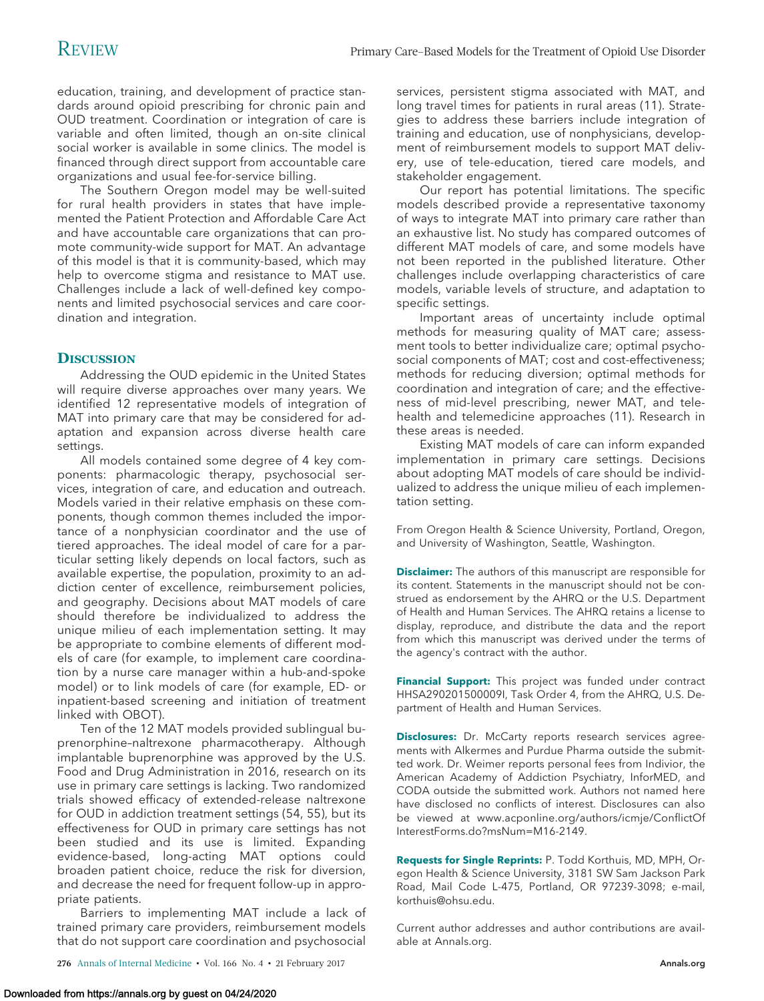education, training, and development of practice standards around opioid prescribing for chronic pain and OUD treatment. Coordination or integration of care is variable and often limited, though an on-site clinical social worker is available in some clinics. The model is financed through direct support from accountable care organizations and usual fee-for-service billing.

The Southern Oregon model may be well-suited for rural health providers in states that have implemented the Patient Protection and Affordable Care Act and have accountable care organizations that can promote community-wide support for MAT. An advantage of this model is that it is community-based, which may help to overcome stigma and resistance to MAT use. Challenges include a lack of well-defined key components and limited psychosocial services and care coordination and integration.

#### **DISCUSSION**

Addressing the OUD epidemic in the United States will require diverse approaches over many years. We identified 12 representative models of integration of MAT into primary care that may be considered for adaptation and expansion across diverse health care settings.

All models contained some degree of 4 key components: pharmacologic therapy, psychosocial services, integration of care, and education and outreach. Models varied in their relative emphasis on these components, though common themes included the importance of a nonphysician coordinator and the use of tiered approaches. The ideal model of care for a particular setting likely depends on local factors, such as available expertise, the population, proximity to an addiction center of excellence, reimbursement policies, and geography. Decisions about MAT models of care should therefore be individualized to address the unique milieu of each implementation setting. It may be appropriate to combine elements of different models of care (for example, to implement care coordination by a nurse care manager within a hub-and-spoke model) or to link models of care (for example, ED- or inpatient-based screening and initiation of treatment linked with OBOT).

Ten of the 12 MAT models provided sublingual buprenorphine–naltrexone pharmacotherapy. Although implantable buprenorphine was approved by the U.S. Food and Drug Administration in 2016, research on its use in primary care settings is lacking. Two randomized trials showed efficacy of extended-release naltrexone for OUD in addiction treatment settings (54, 55), but its effectiveness for OUD in primary care settings has not been studied and its use is limited. Expanding evidence-based, long-acting MAT options could broaden patient choice, reduce the risk for diversion, and decrease the need for frequent follow-up in appropriate patients.

Barriers to implementing MAT include a lack of trained primary care providers, reimbursement models that do not support care coordination and psychosocial

services, persistent stigma associated with MAT, and long travel times for patients in rural areas (11). Strategies to address these barriers include integration of training and education, use of nonphysicians, development of reimbursement models to support MAT delivery, use of tele-education, tiered care models, and stakeholder engagement.

Our report has potential limitations. The specific models described provide a representative taxonomy of ways to integrate MAT into primary care rather than an exhaustive list. No study has compared outcomes of different MAT models of care, and some models have not been reported in the published literature. Other challenges include overlapping characteristics of care models, variable levels of structure, and adaptation to specific settings.

Important areas of uncertainty include optimal methods for measuring quality of MAT care; assessment tools to better individualize care; optimal psychosocial components of MAT; cost and cost-effectiveness; methods for reducing diversion; optimal methods for coordination and integration of care; and the effectiveness of mid-level prescribing, newer MAT, and telehealth and telemedicine approaches (11). Research in these areas is needed.

Existing MAT models of care can inform expanded implementation in primary care settings. Decisions about adopting MAT models of care should be individualized to address the unique milieu of each implementation setting.

From Oregon Health & Science University, Portland, Oregon, and University of Washington, Seattle, Washington.

**Disclaimer:** The authors of this manuscript are responsible for its content. Statements in the manuscript should not be construed as endorsement by the AHRQ or the U.S. Department of Health and Human Services. The AHRQ retains a license to display, reproduce, and distribute the data and the report from which this manuscript was derived under the terms of the agency's contract with the author.

**Financial Support:** This project was funded under contract HHSA290201500009I, Task Order 4, from the AHRQ, U.S. Department of Health and Human Services.

**Disclosures:** Dr. McCarty reports research services agreements with Alkermes and Purdue Pharma outside the submitted work. Dr. Weimer reports personal fees from Indivior, the American Academy of Addiction Psychiatry, InforMED, and CODA outside the submitted work. Authors not named here have disclosed no conflicts of interest. Disclosures can also be viewed at [www.acponline.org/authors/icmje/ConflictOf](http://www.acponline.org/authors/icmje/ConflictOfInterestForms.do?msNum=M16-2149) [InterestForms.do?msNum=M16-2149.](http://www.acponline.org/authors/icmje/ConflictOfInterestForms.do?msNum=M16-2149)

**Requests for Single Reprints:** P. Todd Korthuis, MD, MPH, Oregon Health & Science University, 3181 SW Sam Jackson Park Road, Mail Code L-475, Portland, OR 97239-3098; e-mail, [korthuis@ohsu.edu.](mailto:korthuis@ohsu.edu)

Current author addresses and author contributions are available at [Annals.org.](http://www.annals.org)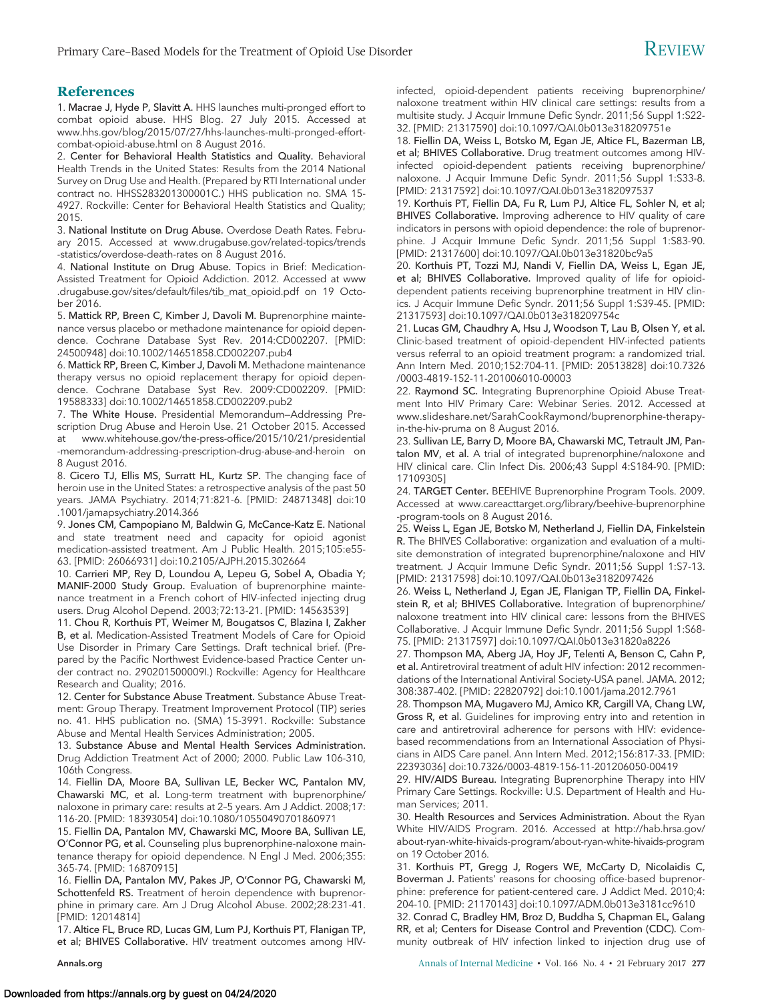#### **References**

1. Macrae J, Hyde P, Slavitt A. HHS launches multi-pronged effort to combat opioid abuse. HHS Blog. 27 July 2015. Accessed at [www.hhs.gov/blog/2015/07/27/hhs-launches-multi-pronged-effort](http://www.hhs.gov/blog/2015/07/27/hhs-launches-multi-pronged-effort-combat-opioid-abuse.html)[combat-opioid-abuse.html](http://www.hhs.gov/blog/2015/07/27/hhs-launches-multi-pronged-effort-combat-opioid-abuse.html) on 8 August 2016.

2. Center for Behavioral Health Statistics and Quality. Behavioral Health Trends in the United States: Results from the 2014 National Survey on Drug Use and Health. (Prepared by RTI International under contract no. HHSS283201300001C.) HHS publication no. SMA 15- 4927. Rockville: Center for Behavioral Health Statistics and Quality; 2015.

3. National Institute on Drug Abuse. Overdose Death Rates. February 2015. Accessed at [www.drugabuse.gov/related-topics/trends](http://www.drugabuse.gov/related-topics/trends-statistics/overdose-death-rates) [-statistics/overdose-death-rates](http://www.drugabuse.gov/related-topics/trends-statistics/overdose-death-rates) on 8 August 2016.

4. National Institute on Drug Abuse. Topics in Brief: Medication-Assisted Treatment for Opioid Addiction. 2012. Accessed at [www](http://www.drugabuse.gov/sites/default/files/tib_mat_opioid.pdf) [.drugabuse.gov/sites/default/files/tib\\_mat\\_opioid.pdf](http://www.drugabuse.gov/sites/default/files/tib_mat_opioid.pdf) on 19 October 2016.

5. Mattick RP, Breen C, Kimber J, Davoli M. Buprenorphine maintenance versus placebo or methadone maintenance for opioid dependence. Cochrane Database Syst Rev. 2014:CD002207. [PMID: 24500948] doi:10.1002/14651858.CD002207.pub4

6. Mattick RP, Breen C, Kimber J, Davoli M. Methadone maintenance therapy versus no opioid replacement therapy for opioid dependence. Cochrane Database Syst Rev. 2009:CD002209. [PMID: 19588333] doi:10.1002/14651858.CD002209.pub2

7. The White House. Presidential Memorandum—Addressing Prescription Drug Abuse and Heroin Use. 21 October 2015. Accessed www.whitehouse.gov/the-press-office/2015/10/21/presidential [-memorandum-addressing-prescription-drug-abuse-and-heroin](http://www.whitehouse.gov/the-press-office/2015/10/21/presidential-memorandum-addressing-prescription-drug-abuse-and-heroin) on 8 August 2016.

8. Cicero TJ, Ellis MS, Surratt HL, Kurtz SP. The changing face of heroin use in the United States: a retrospective analysis of the past 50 years. JAMA Psychiatry. 2014;71:821-6. [PMID: 24871348] doi:10 .1001/jamapsychiatry.2014.366

9. Jones CM, Campopiano M, Baldwin G, McCance-Katz E. National and state treatment need and capacity for opioid agonist medication-assisted treatment. Am J Public Health. 2015;105:e55- 63. [PMID: 26066931] doi:10.2105/AJPH.2015.302664

10. Carrieri MP, Rey D, Loundou A, Lepeu G, Sobel A, Obadia Y; MANIF-2000 Study Group. Evaluation of buprenorphine maintenance treatment in a French cohort of HIV-infected injecting drug users. Drug Alcohol Depend. 2003;72:13-21. [PMID: 14563539]

11. Chou R, Korthuis PT, Weimer M, Bougatsos C, Blazina I, Zakher B, et al. Medication-Assisted Treatment Models of Care for Opioid Use Disorder in Primary Care Settings. Draft technical brief. (Prepared by the Pacific Northwest Evidence-based Practice Center under contract no. 290201500009I.) Rockville: Agency for Healthcare Research and Quality; 2016.

12. Center for Substance Abuse Treatment. Substance Abuse Treatment: Group Therapy. Treatment Improvement Protocol (TIP) series no. 41. HHS publication no. (SMA) 15-3991. Rockville: Substance Abuse and Mental Health Services Administration; 2005.

13. Substance Abuse and Mental Health Services Administration. Drug Addiction Treatment Act of 2000; 2000. Public Law 106-310, 106th Congress.

14. Fiellin DA, Moore BA, Sullivan LE, Becker WC, Pantalon MV, Chawarski MC, et al. Long-term treatment with buprenorphine/ naloxone in primary care: results at 2–5 years. Am J Addict. 2008;17: 116-20. [PMID: 18393054] doi:10.1080/10550490701860971

15. Fiellin DA, Pantalon MV, Chawarski MC, Moore BA, Sullivan LE, O'Connor PG, et al. Counseling plus buprenorphine-naloxone maintenance therapy for opioid dependence. N Engl J Med. 2006;355: 365-74. [PMID: 16870915]

16. Fiellin DA, Pantalon MV, Pakes JP, O'Connor PG, Chawarski M, Schottenfeld RS. Treatment of heroin dependence with buprenorphine in primary care. Am J Drug Alcohol Abuse. 2002;28:231-41. [PMID: 12014814]

17. Altice FL, Bruce RD, Lucas GM, Lum PJ, Korthuis PT, Flanigan TP, et al; BHIVES Collaborative. HIV treatment outcomes among HIV-

infected, opioid-dependent patients receiving buprenorphine/ naloxone treatment within HIV clinical care settings: results from a multisite study. J Acquir Immune Defic Syndr. 2011;56 Suppl 1:S22- 32. [PMID: 21317590] doi:10.1097/QAI.0b013e318209751e

18. Fiellin DA, Weiss L, Botsko M, Egan JE, Altice FL, Bazerman LB, et al; BHIVES Collaborative. Drug treatment outcomes among HIVinfected opioid-dependent patients receiving buprenorphine/ naloxone. J Acquir Immune Defic Syndr. 2011;56 Suppl 1:S33-8. [PMID: 21317592] doi:10.1097/QAI.0b013e3182097537

19. Korthuis PT, Fiellin DA, Fu R, Lum PJ, Altice FL, Sohler N, et al; BHIVES Collaborative. Improving adherence to HIV quality of care indicators in persons with opioid dependence: the role of buprenorphine. J Acquir Immune Defic Syndr. 2011;56 Suppl 1:S83-90. [PMID: 21317600] doi:10.1097/QAI.0b013e31820bc9a5

20. Korthuis PT, Tozzi MJ, Nandi V, Fiellin DA, Weiss L, Egan JE, et al; BHIVES Collaborative. Improved quality of life for opioiddependent patients receiving buprenorphine treatment in HIV clinics. J Acquir Immune Defic Syndr. 2011;56 Suppl 1:S39-45. [PMID: 21317593] doi:10.1097/QAI.0b013e318209754c

21. Lucas GM, Chaudhry A, Hsu J, Woodson T, Lau B, Olsen Y, et al. Clinic-based treatment of opioid-dependent HIV-infected patients versus referral to an opioid treatment program: a randomized trial. Ann Intern Med. 2010;152:704-11. [PMID: 20513828] doi:10.7326 /0003-4819-152-11-201006010-00003

22. Raymond SC. Integrating Buprenorphine Opioid Abuse Treatment Into HIV Primary Care: Webinar Series. 2012. Accessed at [www.slideshare.net/SarahCookRaymond/buprenorphine-therapy](http://www.slideshare.net/SarahCookRaymond/buprenorphine-therapy-in-the-hiv-pruma)[in-the-hiv-pruma](http://www.slideshare.net/SarahCookRaymond/buprenorphine-therapy-in-the-hiv-pruma) on 8 August 2016.

23. Sullivan LE, Barry D, Moore BA, Chawarski MC, Tetrault JM, Pantalon MV, et al. A trial of integrated buprenorphine/naloxone and HIV clinical care. Clin Infect Dis. 2006;43 Suppl 4:S184-90. [PMID: 17109305]

24. TARGET Center. BEEHIVE Buprenorphine Program Tools. 2009. Accessed at [www.careacttarget.org/library/beehive-buprenorphine](http://www.careacttarget.org/library/beehive-buprenorphine-program-tools) [-program-tools](http://www.careacttarget.org/library/beehive-buprenorphine-program-tools) on 8 August 2016.

25. Weiss L, Egan JE, Botsko M, Netherland J, Fiellin DA, Finkelstein R. The BHIVES Collaborative: organization and evaluation of a multisite demonstration of integrated buprenorphine/naloxone and HIV treatment. J Acquir Immune Defic Syndr. 2011;56 Suppl 1:S7-13. [PMID: 21317598] doi:10.1097/QAI.0b013e3182097426

26. Weiss L, Netherland J, Egan JE, Flanigan TP, Fiellin DA, Finkelstein R, et al; BHIVES Collaborative. Integration of buprenorphine/ naloxone treatment into HIV clinical care: lessons from the BHIVES Collaborative. J Acquir Immune Defic Syndr. 2011;56 Suppl 1:S68- 75. [PMID: 21317597] doi:10.1097/QAI.0b013e31820a8226

27. Thompson MA, Aberg JA, Hoy JF, Telenti A, Benson C, Cahn P, et al. Antiretroviral treatment of adult HIV infection: 2012 recommendations of the International Antiviral Society-USA panel. JAMA. 2012; 308:387-402. [PMID: 22820792] doi:10.1001/jama.2012.7961

28. Thompson MA, Mugavero MJ, Amico KR, Cargill VA, Chang LW, Gross R, et al. Guidelines for improving entry into and retention in care and antiretroviral adherence for persons with HIV: evidencebased recommendations from an International Association of Physicians in AIDS Care panel. Ann Intern Med. 2012;156:817-33. [PMID: 22393036] doi:10.7326/0003-4819-156-11-201206050-00419

29. HIV/AIDS Bureau. Integrating Buprenorphine Therapy into HIV Primary Care Settings. Rockville: U.S. Department of Health and Human Services; 2011.

30. Health Resources and Services Administration. About the Ryan White HIV/AIDS Program. 2016. Accessed at [http://hab.hrsa.gov/](http://hab.hrsa.gov/about-ryan-white-hivaids-program/about-ryan-white-hivaids-program) [about-ryan-white-hivaids-program/about-ryan-white-hivaids-program](http://hab.hrsa.gov/about-ryan-white-hivaids-program/about-ryan-white-hivaids-program) on 19 October 2016.

31. Korthuis PT, Gregg J, Rogers WE, McCarty D, Nicolaidis C, Boverman J. Patients' reasons for choosing office-based buprenorphine: preference for patient-centered care. J Addict Med. 2010;4: 204-10. [PMID: 21170143] doi:10.1097/ADM.0b013e3181cc9610

32. Conrad C, Bradley HM, Broz D, Buddha S, Chapman EL, Galang RR, et al; Centers for Disease Control and Prevention (CDC). Community outbreak of HIV infection linked to injection drug use of

[Annals.org](http://www.annals.org) **Annals of Internal Medicine • Vol. 166 No. 4 • 21 February 2017 277**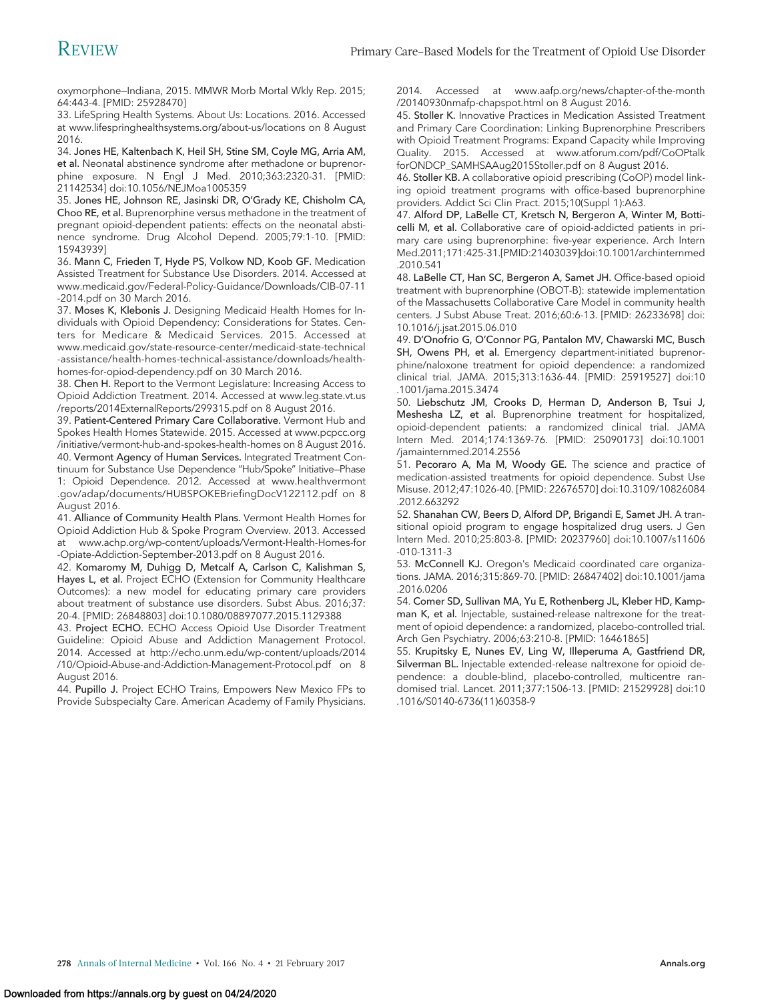oxymorphone—Indiana, 2015. MMWR Morb Mortal Wkly Rep. 2015; 64:443-4. [PMID: 25928470]

33. LifeSpring Health Systems. About Us: Locations. 2016. Accessed at [www.lifespringhealthsystems.org/about-us/locations](http://www.lifespringhealthsystems.org/about-us/locations) on 8 August 2016.

34. Jones HE, Kaltenbach K, Heil SH, Stine SM, Coyle MG, Arria AM, et al. Neonatal abstinence syndrome after methadone or buprenorphine exposure. N Engl J Med. 2010;363:2320-31. [PMID: 21142534] doi:10.1056/NEJMoa1005359

35. Jones HE, Johnson RE, Jasinski DR, O'Grady KE, Chisholm CA, Choo RE, et al. Buprenorphine versus methadone in the treatment of pregnant opioid-dependent patients: effects on the neonatal abstinence syndrome. Drug Alcohol Depend. 2005;79:1-10. [PMID: 15943939]

36. Mann C, Frieden T, Hyde PS, Volkow ND, Koob GF. Medication Assisted Treatment for Substance Use Disorders. 2014. Accessed at [www.medicaid.gov/Federal-Policy-Guidance/Downloads/CIB-07-11](http://www.medicaid.gov/Federal-Policy-Guidance/Downloads/CIB-07-11-2014.pdf) [-2014.pdf](http://www.medicaid.gov/Federal-Policy-Guidance/Downloads/CIB-07-11-2014.pdf) on 30 March 2016.

37. Moses K, Klebonis J. Designing Medicaid Health Homes for Individuals with Opioid Dependency: Considerations for States. Centers for Medicare & Medicaid Services. 2015. Accessed at [www.medicaid.gov/state-resource-center/medicaid-state-technical](http://www.medicaid.gov/state-resource-center/medicaid-state-technical-assistance/health-homes-technical-assistance/downloads/health-homes-for-opiod-dependency.pdf) [-assistance/health-homes-technical-assistance/downloads/health](http://www.medicaid.gov/state-resource-center/medicaid-state-technical-assistance/health-homes-technical-assistance/downloads/health-homes-for-opiod-dependency.pdf)[homes-for-opiod-dependency.pdf](http://www.medicaid.gov/state-resource-center/medicaid-state-technical-assistance/health-homes-technical-assistance/downloads/health-homes-for-opiod-dependency.pdf) on 30 March 2016.

38. Chen H. Report to the Vermont Legislature: Increasing Access to Opioid Addiction Treatment. 2014. Accessed at [www.leg.state.vt.us](http://www.leg.state.vt.us/reports/2014ExternalReports/299315.pdf) [/reports/2014ExternalReports/299315.pdf](http://www.leg.state.vt.us/reports/2014ExternalReports/299315.pdf) on 8 August 2016.

39. Patient-Centered Primary Care Collaborative. Vermont Hub and Spokes Health Homes Statewide. 2015. Accessed at [www.pcpcc.org](http://www.pcpcc.org/initiative/vermont-hub-and-spokes-health-homes) [/initiative/vermont-hub-and-spokes-health-homes](http://www.pcpcc.org/initiative/vermont-hub-and-spokes-health-homes) on 8 August 2016. 40. Vermont Agency of Human Services. Integrated Treatment Continuum for Substance Use Dependence "Hub/Spoke" Initiative—Phase 1: Opioid Dependence. 2012. Accessed at [www.healthvermont](http://www.healthvermont.gov/adap/documents/HUBSPOKEBriefingDocV122112.pdf) [.gov/adap/documents/HUBSPOKEBriefingDocV122112.pdf](http://www.healthvermont.gov/adap/documents/HUBSPOKEBriefingDocV122112.pdf) on 8 August 2016.

41. Alliance of Community Health Plans. Vermont Health Homes for Opioid Addiction Hub & Spoke Program Overview. 2013. Accessed at [www.achp.org/wp-content/uploads/Vermont-Health-Homes-for](http://www.achp.org/wp-content/uploads/Vermont-Health-Homes-for-Opiate-Addiction-September-2013.pdf) [-Opiate-Addiction-September-2013.pdf](http://www.achp.org/wp-content/uploads/Vermont-Health-Homes-for-Opiate-Addiction-September-2013.pdf) on 8 August 2016.

42. Komaromy M, Duhigg D, Metcalf A, Carlson C, Kalishman S, Hayes L, et al. Project ECHO (Extension for Community Healthcare Outcomes): a new model for educating primary care providers about treatment of substance use disorders. Subst Abus. 2016;37: 20-4. [PMID: 26848803] doi:10.1080/08897077.2015.1129388

43. Project ECHO. ECHO Access Opioid Use Disorder Treatment Guideline: Opioid Abuse and Addiction Management Protocol. 2014. Accessed at [http://echo.unm.edu/wp-content/uploads/2014](http://echo.unm.edu/wp-content/uploads/2014/10/Opioid-Abuse-and-Addiction-Management-Protocol.pdf) [/10/Opioid-Abuse-and-Addiction-Management-Protocol.pdf](http://echo.unm.edu/wp-content/uploads/2014/10/Opioid-Abuse-and-Addiction-Management-Protocol.pdf) on 8 August 2016.

44. Pupillo J. Project ECHO Trains, Empowers New Mexico FPs to Provide Subspecialty Care. American Academy of Family Physicians.

2014. Accessed at [www.aafp.org/news/chapter-of-the-month](http://www.aafp.org/news/chapter-of-the-month/20140930nmafp-chapspot.html) [/20140930nmafp-chapspot.html](http://www.aafp.org/news/chapter-of-the-month/20140930nmafp-chapspot.html) on 8 August 2016.

45. Stoller K. Innovative Practices in Medication Assisted Treatment and Primary Care Coordination: Linking Buprenorphine Prescribers with Opioid Treatment Programs: Expand Capacity while Improving Quality. 2015. Accessed at [www.atforum.com/pdf/CoOPtalk](http://www.atforum.com/pdf/CoOPtalkforONDCP_SAMHSAAug2015Stoller.pdf) [forONDCP\\_SAMHSAAug2015Stoller.pdf](http://www.atforum.com/pdf/CoOPtalkforONDCP_SAMHSAAug2015Stoller.pdf) on 8 August 2016.

46. Stoller KB. A collaborative opioid prescribing (CoOP) model linking opioid treatment programs with office-based buprenorphine providers. Addict Sci Clin Pract. 2015;10(Suppl 1):A63.

47. Alford DP, LaBelle CT, Kretsch N, Bergeron A, Winter M, Botticelli M, et al. Collaborative care of opioid-addicted patients in primary care using buprenorphine: five-year experience. Arch Intern Med.2011;171:425-31.[PMID:21403039]doi:10.1001/archinternmed .2010.541

48. LaBelle CT, Han SC, Bergeron A, Samet JH. Office-based opioid treatment with buprenorphine (OBOT-B): statewide implementation of the Massachusetts Collaborative Care Model in community health centers. J Subst Abuse Treat. 2016;60:6-13. [PMID: 26233698] doi: 10.1016/j.jsat.2015.06.010

49. D'Onofrio G, O'Connor PG, Pantalon MV, Chawarski MC, Busch SH, Owens PH, et al. Emergency department-initiated buprenorphine/naloxone treatment for opioid dependence: a randomized clinical trial. JAMA. 2015;313:1636-44. [PMID: 25919527] doi:10 .1001/jama.2015.3474

50. Liebschutz JM, Crooks D, Herman D, Anderson B, Tsui J, Meshesha LZ, et al. Buprenorphine treatment for hospitalized, opioid-dependent patients: a randomized clinical trial. JAMA Intern Med. 2014;174:1369-76. [PMID: 25090173] doi:10.1001 /jamainternmed.2014.2556

51. Pecoraro A, Ma M, Woody GE. The science and practice of medication-assisted treatments for opioid dependence. Subst Use Misuse. 2012;47:1026-40. [PMID: 22676570] doi:10.3109/10826084 .2012.663292

52. Shanahan CW, Beers D, Alford DP, Brigandi E, Samet JH. A transitional opioid program to engage hospitalized drug users. J Gen Intern Med. 2010;25:803-8. [PMID: 20237960] doi:10.1007/s11606 -010-1311-3

53. McConnell KJ. Oregon's Medicaid coordinated care organizations. JAMA. 2016;315:869-70. [PMID: 26847402] doi:10.1001/jama .2016.0206

54. Comer SD, Sullivan MA, Yu E, Rothenberg JL, Kleber HD, Kampman K, et al. Injectable, sustained-release naltrexone for the treatment of opioid dependence: a randomized, placebo-controlled trial. Arch Gen Psychiatry. 2006;63:210-8. [PMID: 16461865]

55. Krupitsky E, Nunes EV, Ling W, Illeperuma A, Gastfriend DR, Silverman BL. Injectable extended-release naltrexone for opioid dependence: a double-blind, placebo-controlled, multicentre randomised trial. Lancet. 2011;377:1506-13. [PMID: 21529928] doi:10 .1016/S0140-6736(11)60358-9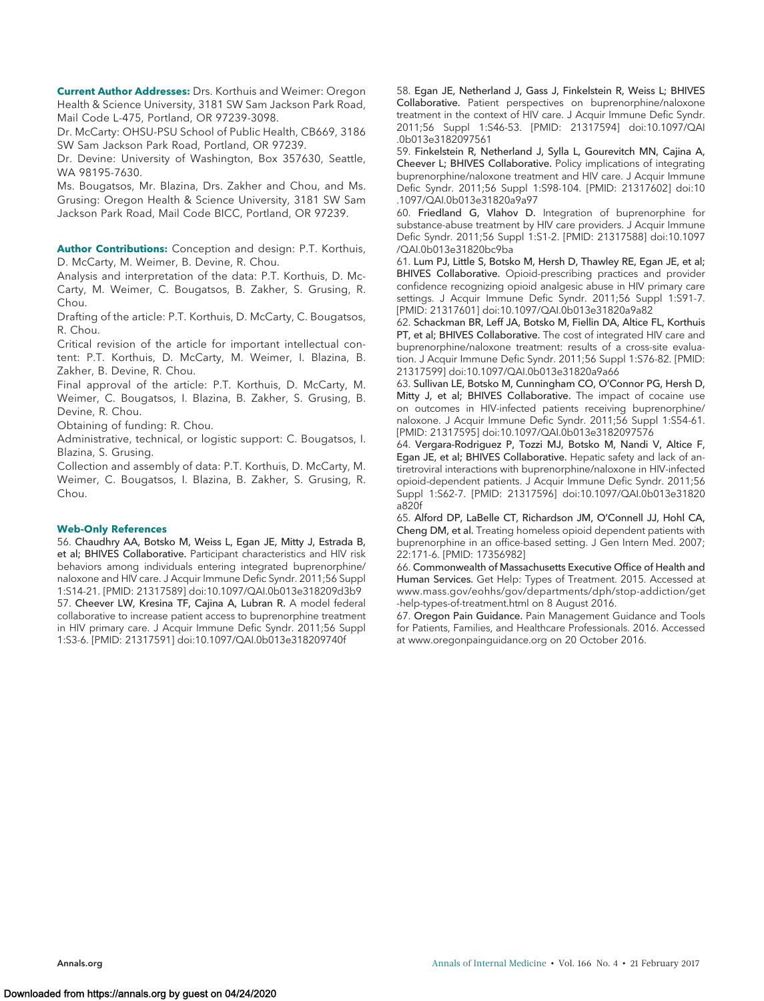**Current Author Addresses:** Drs. Korthuis and Weimer: Oregon Health & Science University, 3181 SW Sam Jackson Park Road, Mail Code L-475, Portland, OR 97239-3098.

Dr. McCarty: OHSU-PSU School of Public Health, CB669, 3186 SW Sam Jackson Park Road, Portland, OR 97239.

Dr. Devine: University of Washington, Box 357630, Seattle, WA 98195-7630.

Ms. Bougatsos, Mr. Blazina, Drs. Zakher and Chou, and Ms. Grusing: Oregon Health & Science University, 3181 SW Sam Jackson Park Road, Mail Code BICC, Portland, OR 97239.

**Author Contributions:** Conception and design: P.T. Korthuis, D. McCarty, M. Weimer, B. Devine, R. Chou.

Analysis and interpretation of the data: P.T. Korthuis, D. Mc-Carty, M. Weimer, C. Bougatsos, B. Zakher, S. Grusing, R. Chou.

Drafting of the article: P.T. Korthuis, D. McCarty, C. Bougatsos, R. Chou.

Critical revision of the article for important intellectual content: P.T. Korthuis, D. McCarty, M. Weimer, I. Blazina, B. Zakher, B. Devine, R. Chou.

Final approval of the article: P.T. Korthuis, D. McCarty, M. Weimer, C. Bougatsos, I. Blazina, B. Zakher, S. Grusing, B. Devine, R. Chou.

Obtaining of funding: R. Chou.

Administrative, technical, or logistic support: C. Bougatsos, I. Blazina, S. Grusing.

Collection and assembly of data: P.T. Korthuis, D. McCarty, M. Weimer, C. Bougatsos, I. Blazina, B. Zakher, S. Grusing, R. Chou.

#### **Web-Only References**

56. Chaudhry AA, Botsko M, Weiss L, Egan JE, Mitty J, Estrada B, et al; BHIVES Collaborative. Participant characteristics and HIV risk behaviors among individuals entering integrated buprenorphine/ naloxone and HIV care. J Acquir Immune Defic Syndr. 2011;56 Suppl 1:S14-21. [PMID: 21317589] doi:10.1097/QAI.0b013e318209d3b9 57. Cheever LW, Kresina TF, Cajina A, Lubran R. A model federal collaborative to increase patient access to buprenorphine treatment in HIV primary care. J Acquir Immune Defic Syndr. 2011;56 Suppl 1:S3-6. [PMID: 21317591] doi:10.1097/QAI.0b013e318209740f

58. Egan JE, Netherland J, Gass J, Finkelstein R, Weiss L; BHIVES Collaborative. Patient perspectives on buprenorphine/naloxone treatment in the context of HIV care. J Acquir Immune Defic Syndr. 2011;56 Suppl 1:S46-53. [PMID: 21317594] doi:10.1097/QAI .0b013e3182097561

59. Finkelstein R, Netherland J, Sylla L, Gourevitch MN, Cajina A, Cheever L; BHIVES Collaborative. Policy implications of integrating buprenorphine/naloxone treatment and HIV care. J Acquir Immune Defic Syndr. 2011;56 Suppl 1:S98-104. [PMID: 21317602] doi:10 .1097/QAI.0b013e31820a9a97

60. Friedland G, Vlahov D. Integration of buprenorphine for substance-abuse treatment by HIV care providers. J Acquir Immune Defic Syndr. 2011;56 Suppl 1:S1-2. [PMID: 21317588] doi:10.1097 /QAI.0b013e31820bc9ba

61. Lum PJ, Little S, Botsko M, Hersh D, Thawley RE, Egan JE, et al; BHIVES Collaborative. Opioid-prescribing practices and provider confidence recognizing opioid analgesic abuse in HIV primary care settings. J Acquir Immune Defic Syndr. 2011;56 Suppl 1:S91-7. [PMID: 21317601] doi:10.1097/QAI.0b013e31820a9a82

62. Schackman BR, Leff JA, Botsko M, Fiellin DA, Altice FL, Korthuis PT, et al; BHIVES Collaborative. The cost of integrated HIV care and buprenorphine/naloxone treatment: results of a cross-site evaluation. J Acquir Immune Defic Syndr. 2011;56 Suppl 1:S76-82. [PMID: 21317599] doi:10.1097/QAI.0b013e31820a9a66

63. Sullivan LE, Botsko M, Cunningham CO, O'Connor PG, Hersh D, Mitty J, et al; BHIVES Collaborative. The impact of cocaine use on outcomes in HIV-infected patients receiving buprenorphine/ naloxone. J Acquir Immune Defic Syndr. 2011;56 Suppl 1:S54-61. [PMID: 21317595] doi:10.1097/QAI.0b013e3182097576

64. Vergara-Rodriguez P, Tozzi MJ, Botsko M, Nandi V, Altice F, Egan JE, et al; BHIVES Collaborative. Hepatic safety and lack of antiretroviral interactions with buprenorphine/naloxone in HIV-infected opioid-dependent patients. J Acquir Immune Defic Syndr. 2011;56 Suppl 1:S62-7. [PMID: 21317596] doi:10.1097/QAI.0b013e31820 a820f

65. Alford DP, LaBelle CT, Richardson JM, O'Connell JJ, Hohl CA, Cheng DM, et al. Treating homeless opioid dependent patients with buprenorphine in an office-based setting. J Gen Intern Med. 2007; 22:171-6. [PMID: 17356982]

66. Commonwealth of Massachusetts Executive Office of Health and Human Services. Get Help: Types of Treatment. 2015. Accessed at [www.mass.gov/eohhs/gov/departments/dph/stop-addiction/get](http://www.mass.gov/eohhs/gov/departments/dph/stop-addiction/get-help-types-of-treatment.html) [-help-types-of-treatment.html](http://www.mass.gov/eohhs/gov/departments/dph/stop-addiction/get-help-types-of-treatment.html) on 8 August 2016.

67. Oregon Pain Guidance. Pain Management Guidance and Tools for Patients, Families, and Healthcare Professionals. 2016. Accessed at [www.oregonpainguidance.org](http://www.oregonpainguidance.org) on 20 October 2016.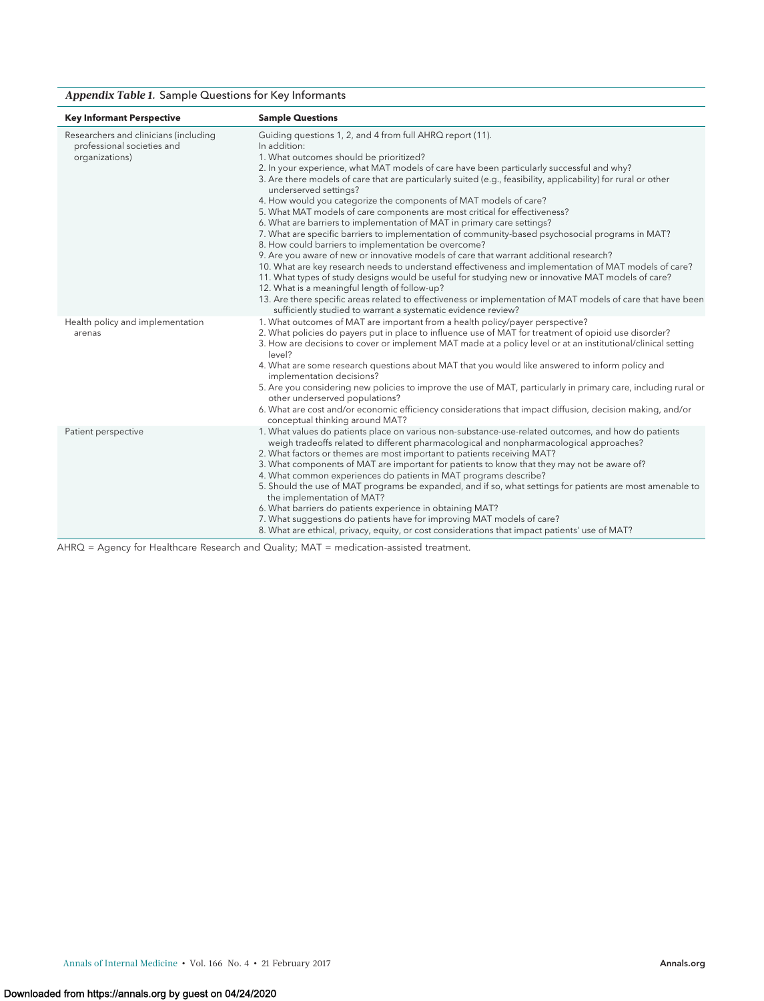### *Appendix Table 1.* Sample Questions for Key Informants

| <b>Key Informant Perspective</b>                                                      | <b>Sample Questions</b>                                                                                                                                                                                                                                                                                                                                                                                                                                                                                                                                                                                                                                                                                                                                                                                                                                                                                                                                                                                                                                                                                                                                                                                                                                                                           |
|---------------------------------------------------------------------------------------|---------------------------------------------------------------------------------------------------------------------------------------------------------------------------------------------------------------------------------------------------------------------------------------------------------------------------------------------------------------------------------------------------------------------------------------------------------------------------------------------------------------------------------------------------------------------------------------------------------------------------------------------------------------------------------------------------------------------------------------------------------------------------------------------------------------------------------------------------------------------------------------------------------------------------------------------------------------------------------------------------------------------------------------------------------------------------------------------------------------------------------------------------------------------------------------------------------------------------------------------------------------------------------------------------|
| Researchers and clinicians (including<br>professional societies and<br>organizations) | Guiding questions 1, 2, and 4 from full AHRQ report (11).<br>In addition:<br>1. What outcomes should be prioritized?<br>2. In your experience, what MAT models of care have been particularly successful and why?<br>3. Are there models of care that are particularly suited (e.g., feasibility, applicability) for rural or other<br>underserved settings?<br>4. How would you categorize the components of MAT models of care?<br>5. What MAT models of care components are most critical for effectiveness?<br>6. What are barriers to implementation of MAT in primary care settings?<br>7. What are specific barriers to implementation of community-based psychosocial programs in MAT?<br>8. How could barriers to implementation be overcome?<br>9. Are you aware of new or innovative models of care that warrant additional research?<br>10. What are key research needs to understand effectiveness and implementation of MAT models of care?<br>11. What types of study designs would be useful for studying new or innovative MAT models of care?<br>12. What is a meaningful length of follow-up?<br>13. Are there specific areas related to effectiveness or implementation of MAT models of care that have been<br>sufficiently studied to warrant a systematic evidence review? |
| Health policy and implementation<br>arenas                                            | 1. What outcomes of MAT are important from a health policy/payer perspective?<br>2. What policies do payers put in place to influence use of MAT for treatment of opioid use disorder?<br>3. How are decisions to cover or implement MAT made at a policy level or at an institutional/clinical setting<br>level?<br>4. What are some research questions about MAT that you would like answered to inform policy and<br>implementation decisions?<br>5. Are you considering new policies to improve the use of MAT, particularly in primary care, including rural or<br>other underserved populations?<br>6. What are cost and/or economic efficiency considerations that impact diffusion, decision making, and/or<br>conceptual thinking around MAT?                                                                                                                                                                                                                                                                                                                                                                                                                                                                                                                                            |
| Patient perspective                                                                   | 1. What values do patients place on various non-substance-use-related outcomes, and how do patients<br>weigh tradeoffs related to different pharmacological and nonpharmacological approaches?<br>2. What factors or themes are most important to patients receiving MAT?<br>3. What components of MAT are important for patients to know that they may not be aware of?<br>4. What common experiences do patients in MAT programs describe?<br>5. Should the use of MAT programs be expanded, and if so, what settings for patients are most amenable to<br>the implementation of MAT?<br>6. What barriers do patients experience in obtaining MAT?<br>7. What suggestions do patients have for improving MAT models of care?<br>8. What are ethical, privacy, equity, or cost considerations that impact patients' use of MAT?                                                                                                                                                                                                                                                                                                                                                                                                                                                                  |

AHRQ = Agency for Healthcare Research and Quality; MAT = medication-assisted treatment.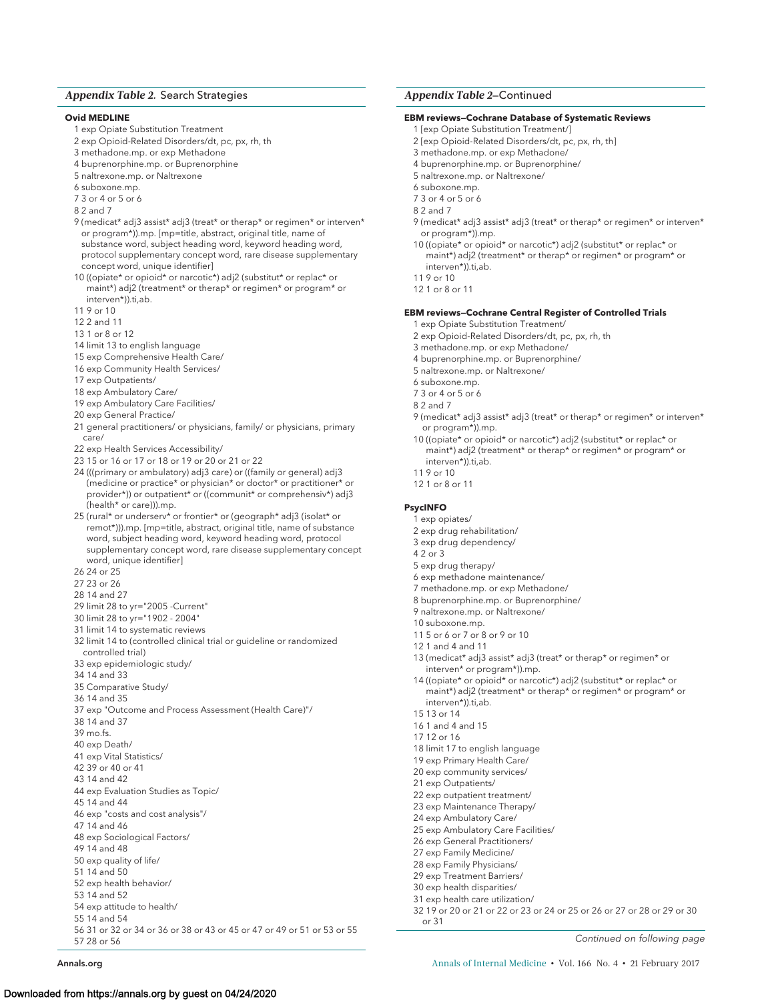#### *Appendix Table 2.* Search Strategies

#### **Ovid MEDLINE**

- 1 exp Opiate Substitution Treatment
- 2 exp Opioid-Related Disorders/dt, pc, px, rh, th
- 3 methadone.mp. or exp Methadone
- 4 buprenorphine.mp. or Buprenorphine
- 5 naltrexone.mp. or Naltrexone
- 6 suboxone.mp.
- 7 3 or 4 or 5 or 6
- 8 2 and 7
- 9 (medicat\* adj3 assist\* adj3 (treat\* or therap\* or regimen\* or interven\* or program\*)).mp. [mp=title, abstract, original title, name of substance word, subject heading word, keyword heading word, protocol supplementary concept word, rare disease supplementary concept word, unique identifier]
- 10 ((opiate\* or opioid\* or narcotic\*) adj2 (substitut\* or replac\* or maint\*) adj2 (treatment\* or therap\* or regimen\* or program\* or interven\*)).ti,ab.
- 11 9 or 10
- 12 2 and 11
- 13 1 or 8 or 12
- 14 limit 13 to english language
- 15 exp Comprehensive Health Care/
- 16 exp Community Health Services/
- 17 exp Outpatients/
- 18 exp Ambulatory Care/
- 19 exp Ambulatory Care Facilities/
- 20 exp General Practice/
- 21 general practitioners/ or physicians, family/ or physicians, primary care/
- 22 exp Health Services Accessibility/
- 23 15 or 16 or 17 or 18 or 19 or 20 or 21 or 22
- 24 (((primary or ambulatory) adj3 care) or ((family or general) adj3 (medicine or practice\* or physician\* or doctor\* or practitioner\* or provider\*)) or outpatient\* or ((communit\* or comprehensiv\*) adj3 (health\* or care))).mp.
- 25 (rural\* or underserv\* or frontier\* or (geograph\* adj3 (isolat\* or remot\*))).mp. [mp=title, abstract, original title, name of substance word, subject heading word, keyword heading word, protocol supplementary concept word, rare disease supplementary concept word, unique identifier]
- 26 24 or 25
- 27 23 or 26
- 28 14 and 27
- 29 limit 28 to yr="2005 -Current"
- 30 limit 28 to yr="1902 2004"
- 31 limit 14 to systematic reviews
- 32 limit 14 to (controlled clinical trial or guideline or randomized controlled trial)
- 33 exp epidemiologic study/
- 34 14 and 33
- 35 Comparative Study/
- 36 14 and 35
- 37 exp "Outcome and Process Assessment (Health Care)"/ 38 14 and 37
- 39 mo.fs.
- 40 exp Death/
- 41 exp Vital Statistics/
- 42 39 or 40 or 41
- 43 14 and 42
- 44 exp Evaluation Studies as Topic/
- 45 14 and 44
- 46 exp "costs and cost analysis"/
- 47 14 and 46
- 48 exp Sociological Factors/
- 49 14 and 48 50 exp quality of life/
- 51 14 and 50
- 52 exp health behavior/
- 53 14 and 52
- 54 exp attitude to health/ 55 14 and 54

Downloaded from https://annals.org by guest on 04/24/2020

- - 56 31 or 32 or 34 or 36 or 38 or 43 or 45 or 47 or 49 or 51 or 53 or 55 57 28 or 56

#### *Appendix Table 2*—Continued

#### **EBM reviews—Cochrane Database of Systematic Reviews**

- 1 [exp Opiate Substitution Treatment/]
- 2 [exp Opioid-Related Disorders/dt, pc, px, rh, th]
- 3 methadone.mp. or exp Methadone/
- 4 buprenorphine.mp. or Buprenorphine/
- 5 naltrexone.mp. or Naltrexone/
- 6 suboxone.mp.
- 7 3 or 4 or 5 or 6
- 8 2 and 7
- 9 (medicat\* adj3 assist\* adj3 (treat\* or therap\* or regimen\* or interven\* or program\*)).mp.
- 10 ((opiate\* or opioid\* or narcotic\*) adj2 (substitut\* or replac\* or maint\*) adj2 (treatment\* or therap\* or regimen\* or program\* or interven\*)).ti,ab.
- 11 9 or 10
- 12 1 or 8 or 11

#### **EBM reviews—Cochrane Central Register of Controlled Trials**

- 1 exp Opiate Substitution Treatment/
- 2 exp Opioid-Related Disorders/dt, pc, px, rh, th
- 3 methadone.mp. or exp Methadone/
- 4 buprenorphine.mp. or Buprenorphine/
- 5 naltrexone.mp. or Naltrexone/
- 6 suboxone.mp.
- 7 3 or 4 or 5 or 6
- 8 2 and 7
- 9 (medicat\* adj3 assist\* adj3 (treat\* or therap\* or regimen\* or interven\* or program\*)).mp.
- 10 ((opiate\* or opioid\* or narcotic\*) adj2 (substitut\* or replac\* or maint\*) adj2 (treatment\* or therap\* or regimen\* or program\* or interven\*)).ti,ab.
- 11 9 or 10
- 12 1 or 8 or 11

#### **PsycINFO**

- 1 exp opiates/
- 2 exp drug rehabilitation/
- 3 exp drug dependency/
- 4 2 or 3
- 5 exp drug therapy/
- 6 exp methadone maintenance/
- 7 methadone.mp. or exp Methadone/
- 8 buprenorphine.mp. or Buprenorphine/
- 9 naltrexone.mp. or Naltrexone/

18 limit 17 to english language 19 exp Primary Health Care/ 20 exp community services/ 21 exp Outpatients/ 22 exp outpatient treatment/ 23 exp Maintenance Therapy/ 24 exp Ambulatory Care/ 25 exp Ambulatory Care Facilities/ 26 exp General Practitioners/ 27 exp Family Medicine/ 28 exp Family Physicians/ 29 exp Treatment Barriers/ 30 exp health disparities/ 31 exp health care utilization/

- 10 suboxone.mp.
- 11 5 or 6 or 7 or 8 or 9 or 10
- 12 1 and 4 and 11
- 13 (medicat\* adj3 assist\* adj3 (treat\* or therap\* or regimen\* or interven\* or program\*)).mp.
- 14 ((opiate\* or opioid\* or narcotic\*) adj2 (substitut\* or replac\* or maint\*) adj2 (treatment\* or therap\* or regimen\* or program\* or interven\*)).ti,ab.

32 19 or 20 or 21 or 22 or 23 or 24 or 25 or 26 or 27 or 28 or 29 or 30

Continued on following page

15 13 or 14

or 31

[Annals.org](http://www.annals.org) **Annals of Internal Medicine • Vol. 166 No. 4 • 21 February 2017** 

16 1 and 4 and 15 17 12 or 16